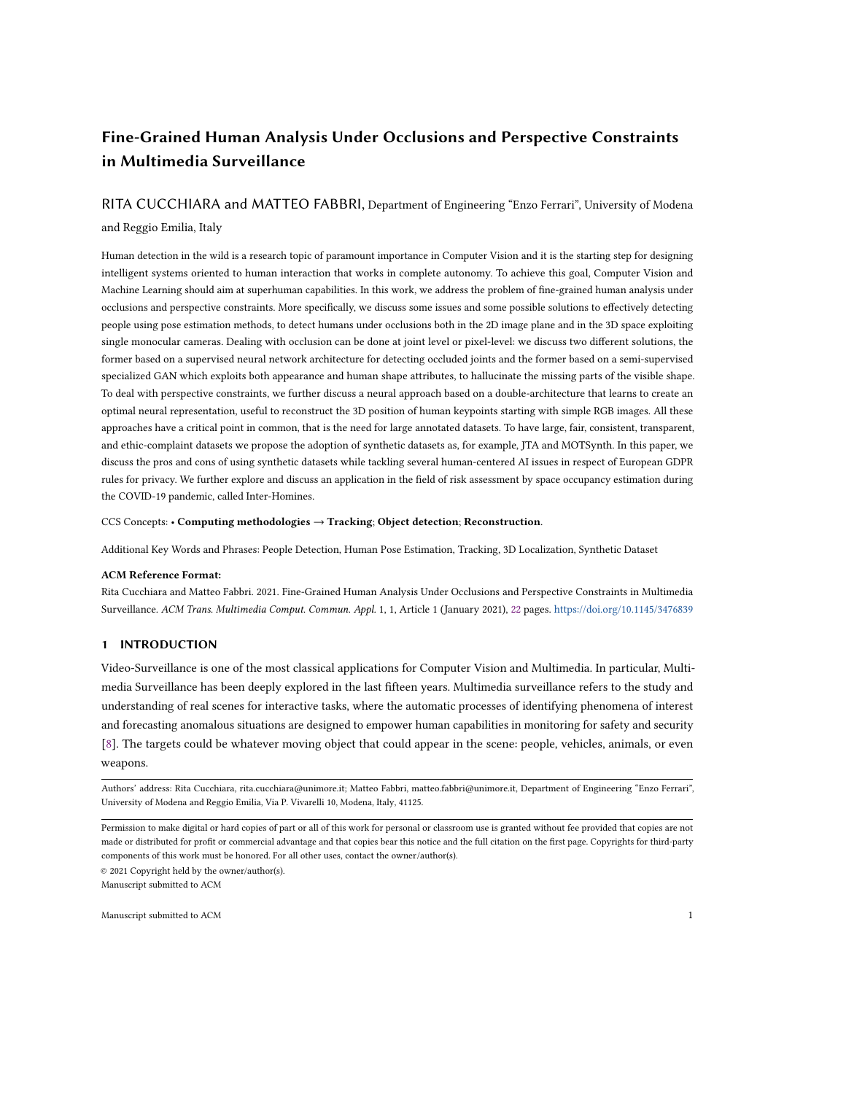# Fine-Grained Human Analysis Under Occlusions and Perspective Constraints in Multimedia Surveillance

## RITA CUCCHIARA and MATTEO FABBRI, Department of Engineering "Enzo Ferrari", University of Modena and Reggio Emilia, Italy

Human detection in the wild is a research topic of paramount importance in Computer Vision and it is the starting step for designing intelligent systems oriented to human interaction that works in complete autonomy. To achieve this goal, Computer Vision and Machine Learning should aim at superhuman capabilities. In this work, we address the problem of fine-grained human analysis under occlusions and perspective constraints. More specifically, we discuss some issues and some possible solutions to effectively detecting people using pose estimation methods, to detect humans under occlusions both in the 2D image plane and in the 3D space exploiting single monocular cameras. Dealing with occlusion can be done at joint level or pixel-level: we discuss two different solutions, the former based on a supervised neural network architecture for detecting occluded joints and the former based on a semi-supervised specialized GAN which exploits both appearance and human shape attributes, to hallucinate the missing parts of the visible shape. To deal with perspective constraints, we further discuss a neural approach based on a double-architecture that learns to create an optimal neural representation, useful to reconstruct the 3D position of human keypoints starting with simple RGB images. All these approaches have a critical point in common, that is the need for large annotated datasets. To have large, fair, consistent, transparent, and ethic-complaint datasets we propose the adoption of synthetic datasets as, for example, JTA and MOTSynth. In this paper, we discuss the pros and cons of using synthetic datasets while tackling several human-centered AI issues in respect of European GDPR rules for privacy. We further explore and discuss an application in the field of risk assessment by space occupancy estimation during the COVID-19 pandemic, called Inter-Homines.

CCS Concepts: • Computing methodologies → Tracking; Object detection; Reconstruction.

Additional Key Words and Phrases: People Detection, Human Pose Estimation, Tracking, 3D Localization, Synthetic Dataset

#### ACM Reference Format:

Rita Cucchiara and Matteo Fabbri. 2021. Fine-Grained Human Analysis Under Occlusions and Perspective Constraints in Multimedia Surveillance. ACM Trans. Multimedia Comput. Commun. Appl. 1, 1, Article 1 (January 2021), [22](#page-21-0) pages. <https://doi.org/10.1145/3476839>

## 1 INTRODUCTION

Video-Surveillance is one of the most classical applications for Computer Vision and Multimedia. In particular, Multimedia Surveillance has been deeply explored in the last fifteen years. Multimedia surveillance refers to the study and understanding of real scenes for interactive tasks, where the automatic processes of identifying phenomena of interest and forecasting anomalous situations are designed to empower human capabilities in monitoring for safety and security [\[8\]](#page-19-0). The targets could be whatever moving object that could appear in the scene: people, vehicles, animals, or even weapons.

© 2021 Copyright held by the owner/author(s). Manuscript submitted to ACM

Authors' address: Rita Cucchiara, rita.cucchiara@unimore.it; Matteo Fabbri, matteo.fabbri@unimore.it, Department of Engineering "Enzo Ferrari", University of Modena and Reggio Emilia, Via P. Vivarelli 10, Modena, Italy, 41125.

Permission to make digital or hard copies of part or all of this work for personal or classroom use is granted without fee provided that copies are not made or distributed for profit or commercial advantage and that copies bear this notice and the full citation on the first page. Copyrights for third-party components of this work must be honored. For all other uses, contact the owner/author(s).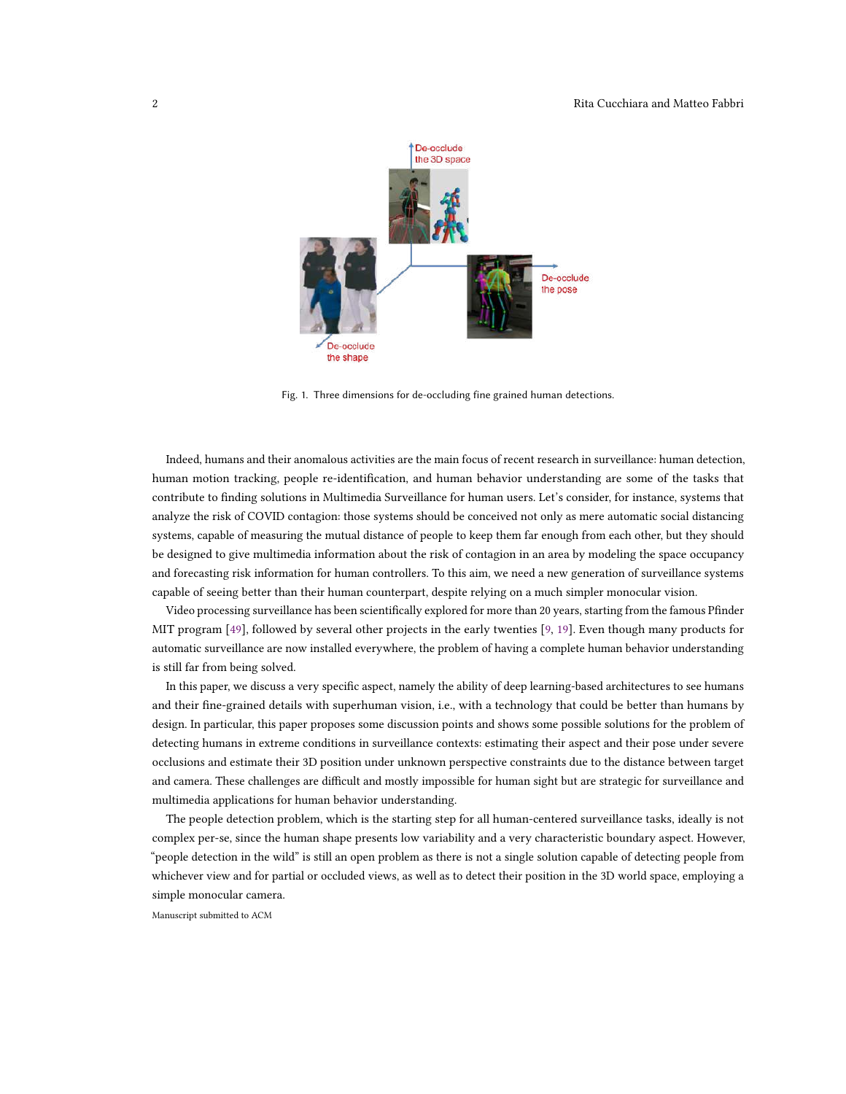<span id="page-1-0"></span>

Fig. 1. Three dimensions for de-occluding fine grained human detections.

Indeed, humans and their anomalous activities are the main focus of recent research in surveillance: human detection, human motion tracking, people re-identification, and human behavior understanding are some of the tasks that contribute to finding solutions in Multimedia Surveillance for human users. Let's consider, for instance, systems that analyze the risk of COVID contagion: those systems should be conceived not only as mere automatic social distancing systems, capable of measuring the mutual distance of people to keep them far enough from each other, but they should be designed to give multimedia information about the risk of contagion in an area by modeling the space occupancy and forecasting risk information for human controllers. To this aim, we need a new generation of surveillance systems capable of seeing better than their human counterpart, despite relying on a much simpler monocular vision.

Video processing surveillance has been scientifically explored for more than 20 years, starting from the famous Pfinder MIT program [\[49\]](#page-21-1), followed by several other projects in the early twenties [\[9,](#page-19-1) [19\]](#page-20-0). Even though many products for automatic surveillance are now installed everywhere, the problem of having a complete human behavior understanding is still far from being solved.

In this paper, we discuss a very specific aspect, namely the ability of deep learning-based architectures to see humans and their fine-grained details with superhuman vision, i.e., with a technology that could be better than humans by design. In particular, this paper proposes some discussion points and shows some possible solutions for the problem of detecting humans in extreme conditions in surveillance contexts: estimating their aspect and their pose under severe occlusions and estimate their 3D position under unknown perspective constraints due to the distance between target and camera. These challenges are difficult and mostly impossible for human sight but are strategic for surveillance and multimedia applications for human behavior understanding.

The people detection problem, which is the starting step for all human-centered surveillance tasks, ideally is not complex per-se, since the human shape presents low variability and a very characteristic boundary aspect. However, "people detection in the wild" is still an open problem as there is not a single solution capable of detecting people from whichever view and for partial or occluded views, as well as to detect their position in the 3D world space, employing a simple monocular camera.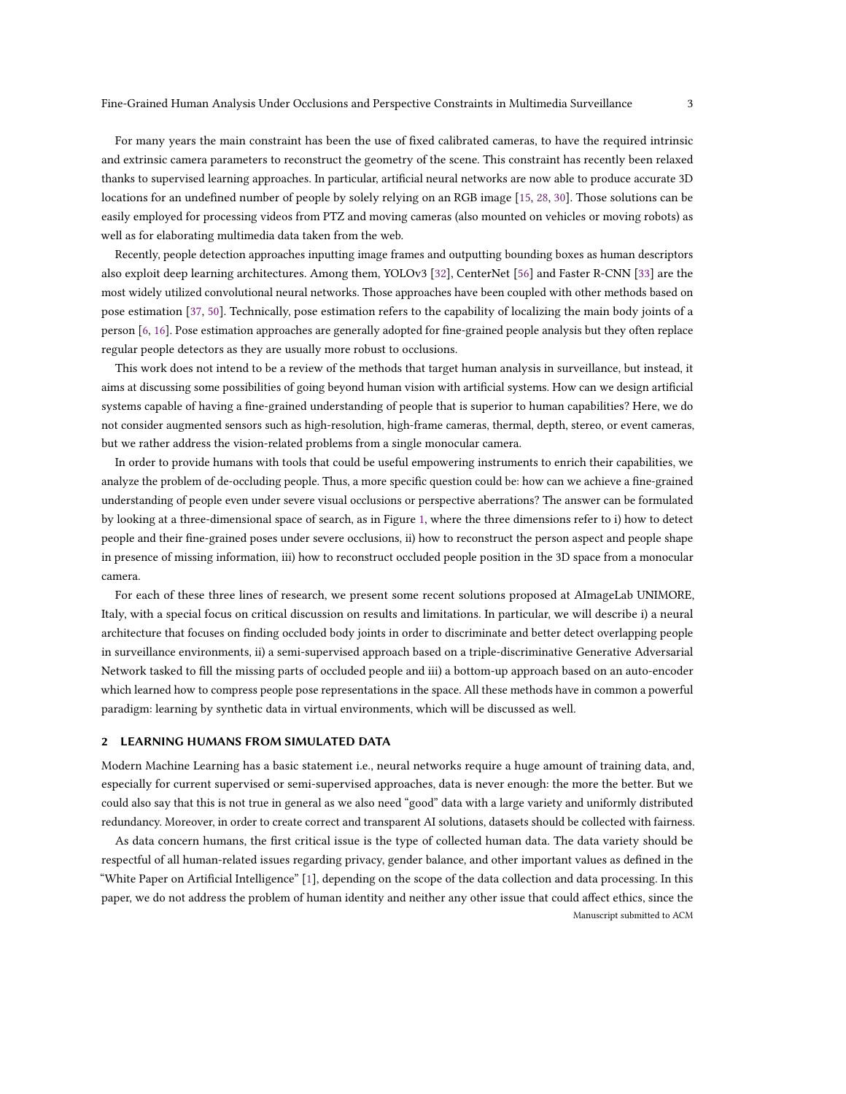For many years the main constraint has been the use of fixed calibrated cameras, to have the required intrinsic and extrinsic camera parameters to reconstruct the geometry of the scene. This constraint has recently been relaxed thanks to supervised learning approaches. In particular, artificial neural networks are now able to produce accurate 3D locations for an undefined number of people by solely relying on an RGB image [\[15,](#page-20-1) [28,](#page-20-2) [30\]](#page-20-3). Those solutions can be easily employed for processing videos from PTZ and moving cameras (also mounted on vehicles or moving robots) as well as for elaborating multimedia data taken from the web.

Recently, people detection approaches inputting image frames and outputting bounding boxes as human descriptors also exploit deep learning architectures. Among them, YOLOv3 [\[32\]](#page-20-4), CenterNet [\[56\]](#page-21-2) and Faster R-CNN [\[33\]](#page-20-5) are the most widely utilized convolutional neural networks. Those approaches have been coupled with other methods based on pose estimation [\[37,](#page-20-6) [50\]](#page-21-3). Technically, pose estimation refers to the capability of localizing the main body joints of a person [\[6,](#page-19-2) [16\]](#page-20-7). Pose estimation approaches are generally adopted for fine-grained people analysis but they often replace regular people detectors as they are usually more robust to occlusions.

This work does not intend to be a review of the methods that target human analysis in surveillance, but instead, it aims at discussing some possibilities of going beyond human vision with artificial systems. How can we design artificial systems capable of having a fine-grained understanding of people that is superior to human capabilities? Here, we do not consider augmented sensors such as high-resolution, high-frame cameras, thermal, depth, stereo, or event cameras, but we rather address the vision-related problems from a single monocular camera.

In order to provide humans with tools that could be useful empowering instruments to enrich their capabilities, we analyze the problem of de-occluding people. Thus, a more specific question could be: how can we achieve a fine-grained understanding of people even under severe visual occlusions or perspective aberrations? The answer can be formulated by looking at a three-dimensional space of search, as in Figure [1,](#page-1-0) where the three dimensions refer to i) how to detect people and their fine-grained poses under severe occlusions, ii) how to reconstruct the person aspect and people shape in presence of missing information, iii) how to reconstruct occluded people position in the 3D space from a monocular camera.

For each of these three lines of research, we present some recent solutions proposed at AImageLab UNIMORE, Italy, with a special focus on critical discussion on results and limitations. In particular, we will describe i) a neural architecture that focuses on finding occluded body joints in order to discriminate and better detect overlapping people in surveillance environments, ii) a semi-supervised approach based on a triple-discriminative Generative Adversarial Network tasked to fill the missing parts of occluded people and iii) a bottom-up approach based on an auto-encoder which learned how to compress people pose representations in the space. All these methods have in common a powerful paradigm: learning by synthetic data in virtual environments, which will be discussed as well.

#### 2 LEARNING HUMANS FROM SIMULATED DATA

Modern Machine Learning has a basic statement i.e., neural networks require a huge amount of training data, and, especially for current supervised or semi-supervised approaches, data is never enough: the more the better. But we could also say that this is not true in general as we also need "good" data with a large variety and uniformly distributed redundancy. Moreover, in order to create correct and transparent AI solutions, datasets should be collected with fairness.

As data concern humans, the first critical issue is the type of collected human data. The data variety should be respectful of all human-related issues regarding privacy, gender balance, and other important values as defined in the "White Paper on Artificial Intelligence" [\[1\]](#page-19-3), depending on the scope of the data collection and data processing. In this paper, we do not address the problem of human identity and neither any other issue that could affect ethics, since the Manuscript submitted to ACM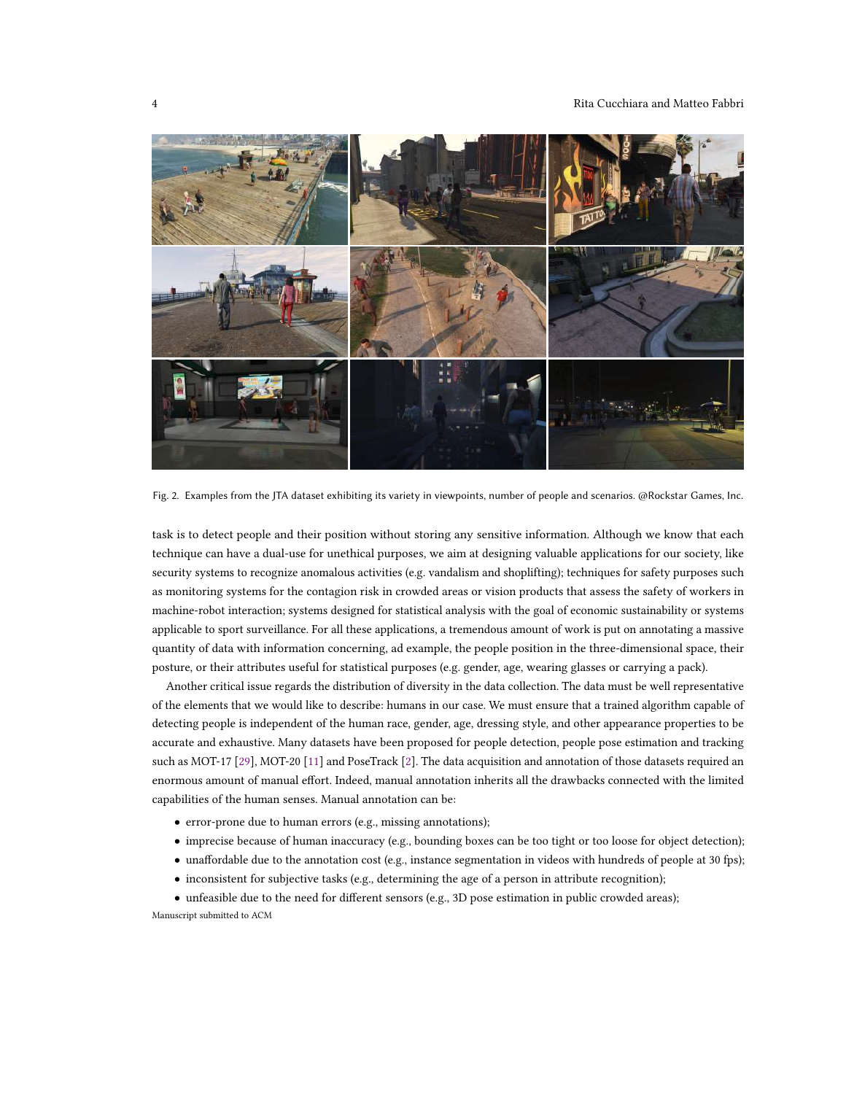<span id="page-3-0"></span>

Fig. 2. Examples from the JTA dataset exhibiting its variety in viewpoints, number of people and scenarios. @Rockstar Games, Inc.

task is to detect people and their position without storing any sensitive information. Although we know that each technique can have a dual-use for unethical purposes, we aim at designing valuable applications for our society, like security systems to recognize anomalous activities (e.g. vandalism and shoplifting); techniques for safety purposes such as monitoring systems for the contagion risk in crowded areas or vision products that assess the safety of workers in machine-robot interaction; systems designed for statistical analysis with the goal of economic sustainability or systems applicable to sport surveillance. For all these applications, a tremendous amount of work is put on annotating a massive quantity of data with information concerning, ad example, the people position in the three-dimensional space, their posture, or their attributes useful for statistical purposes (e.g. gender, age, wearing glasses or carrying a pack).

Another critical issue regards the distribution of diversity in the data collection. The data must be well representative of the elements that we would like to describe: humans in our case. We must ensure that a trained algorithm capable of detecting people is independent of the human race, gender, age, dressing style, and other appearance properties to be accurate and exhaustive. Many datasets have been proposed for people detection, people pose estimation and tracking such as MOT-17 [\[29\]](#page-20-8), MOT-20 [\[11\]](#page-19-4) and PoseTrack [\[2\]](#page-19-5). The data acquisition and annotation of those datasets required an enormous amount of manual effort. Indeed, manual annotation inherits all the drawbacks connected with the limited capabilities of the human senses. Manual annotation can be:

- error-prone due to human errors (e.g., missing annotations);
- imprecise because of human inaccuracy (e.g., bounding boxes can be too tight or too loose for object detection);
- unaffordable due to the annotation cost (e.g., instance segmentation in videos with hundreds of people at 30 fps);
- inconsistent for subjective tasks (e.g., determining the age of a person in attribute recognition);
- unfeasible due to the need for different sensors (e.g., 3D pose estimation in public crowded areas);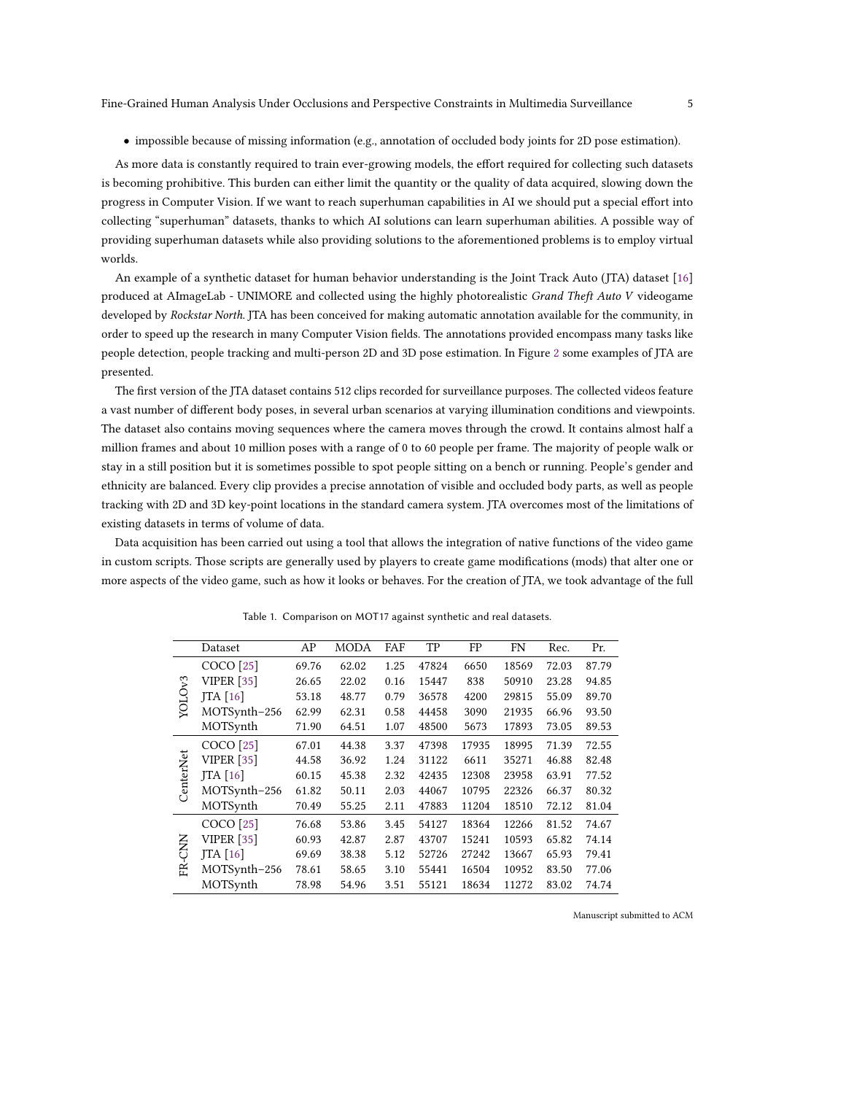• impossible because of missing information (e.g., annotation of occluded body joints for 2D pose estimation).

As more data is constantly required to train ever-growing models, the effort required for collecting such datasets is becoming prohibitive. This burden can either limit the quantity or the quality of data acquired, slowing down the progress in Computer Vision. If we want to reach superhuman capabilities in AI we should put a special effort into collecting "superhuman" datasets, thanks to which AI solutions can learn superhuman abilities. A possible way of providing superhuman datasets while also providing solutions to the aforementioned problems is to employ virtual worlds.

An example of a synthetic dataset for human behavior understanding is the Joint Track Auto (JTA) dataset [\[16\]](#page-20-7) produced at AImageLab - UNIMORE and collected using the highly photorealistic Grand Theft Auto V videogame developed by Rockstar North. JTA has been conceived for making automatic annotation available for the community, in order to speed up the research in many Computer Vision fields. The annotations provided encompass many tasks like people detection, people tracking and multi-person 2D and 3D pose estimation. In Figure [2](#page-3-0) some examples of JTA are presented.

The first version of the JTA dataset contains 512 clips recorded for surveillance purposes. The collected videos feature a vast number of different body poses, in several urban scenarios at varying illumination conditions and viewpoints. The dataset also contains moving sequences where the camera moves through the crowd. It contains almost half a million frames and about 10 million poses with a range of 0 to 60 people per frame. The majority of people walk or stay in a still position but it is sometimes possible to spot people sitting on a bench or running. People's gender and ethnicity are balanced. Every clip provides a precise annotation of visible and occluded body parts, as well as people tracking with 2D and 3D key-point locations in the standard camera system. JTA overcomes most of the limitations of existing datasets in terms of volume of data.

<span id="page-4-0"></span>Data acquisition has been carried out using a tool that allows the integration of native functions of the video game in custom scripts. Those scripts are generally used by players to create game modifications (mods) that alter one or more aspects of the video game, such as how it looks or behaves. For the creation of JTA, we took advantage of the full

|               | Dataset                     | ΑP    | MODA  | FAF  | TP    | FP    | <b>FN</b> | Rec.  | Pr.   |
|---------------|-----------------------------|-------|-------|------|-------|-------|-----------|-------|-------|
|               | COCO <sup>[25]</sup>        | 69.76 | 62.02 | 1.25 | 47824 | 6650  | 18569     | 72.03 | 87.79 |
|               | VIPER $[35]$                | 26.65 | 22.02 | 0.16 | 15447 | 838   | 50910     | 23.28 | 94.85 |
| YOLOv3        | $\text{TIA}$ [16]           | 53.18 | 48.77 | 0.79 | 36578 | 4200  | 29815     | 55.09 | 89.70 |
|               | MOTSynth-256                | 62.99 | 62.31 | 0.58 | 44458 | 3090  | 21935     | 66.96 | 93.50 |
|               | MOTSynth                    | 71.90 | 64.51 | 1.07 | 48500 | 5673  | 17893     | 73.05 | 89.53 |
|               | COCO <sup>[25]</sup>        | 67.01 | 44.38 | 3.37 | 47398 | 17935 | 18995     | 71.39 | 72.55 |
|               | VIPER $[35]$                | 44.58 | 36.92 | 1.24 | 31122 | 6611  | 35271     | 46.88 | 82.48 |
| CenterNet     | $\text{ITA}\left[16\right]$ | 60.15 | 45.38 | 2.32 | 42435 | 12308 | 23958     | 63.91 | 77.52 |
|               | MOTSynth-256                | 61.82 | 50.11 | 2.03 | 44067 | 10795 | 22326     | 66.37 | 80.32 |
|               | MOTSynth                    | 70.49 | 55.25 | 2.11 | 47883 | 11204 | 18510     | 72.12 | 81.04 |
|               | COCO <sup>[25]</sup>        | 76.68 | 53.86 | 3.45 | 54127 | 18364 | 12266     | 81.52 | 74.67 |
|               | VIPER $[35]$                | 60.93 | 42.87 | 2.87 | 43707 | 15241 | 10593     | 65.82 | 74.14 |
| <b>KIND</b> - | $\text{ITA}\left[16\right]$ | 69.69 | 38.38 | 5.12 | 52726 | 27242 | 13667     | 65.93 | 79.41 |
| Ě             | MOTSynth-256                | 78.61 | 58.65 | 3.10 | 55441 | 16504 | 10952     | 83.50 | 77.06 |
|               | MOTSynth                    | 78.98 | 54.96 | 3.51 | 55121 | 18634 | 11272     | 83.02 | 74.74 |

Table 1. Comparison on MOT17 against synthetic and real datasets.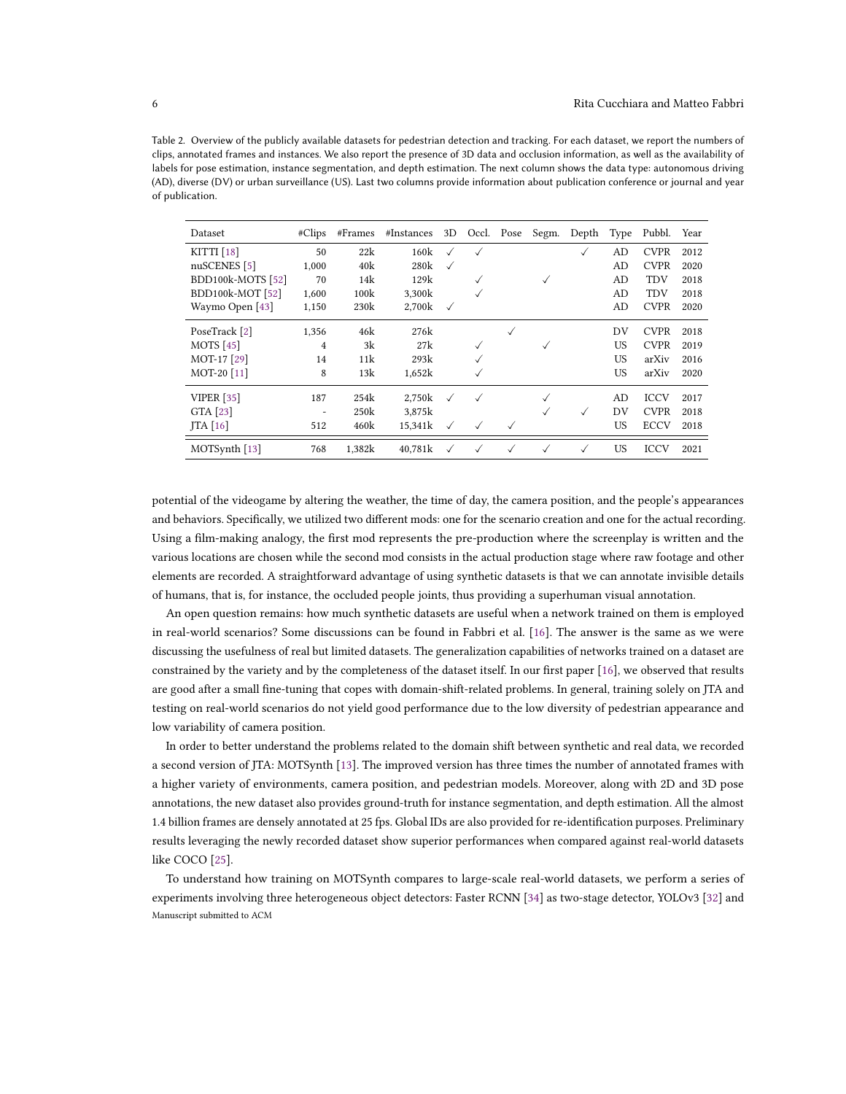<span id="page-5-0"></span>Table 2. Overview of the publicly available datasets for pedestrian detection and tracking. For each dataset, we report the numbers of clips, annotated frames and instances. We also report the presence of 3D data and occlusion information, as well as the availability of labels for pose estimation, instance segmentation, and depth estimation. The next column shows the data type: autonomous driving (AD), diverse (DV) or urban surveillance (US). Last two columns provide information about publication conference or journal and year of publication.

| Dataset                 | $\# Clips$ | #Frames | #Instances | 3D           |              |              |           | Occl. Pose Segm. Depth | Type      | Pubbl.      | Year |
|-------------------------|------------|---------|------------|--------------|--------------|--------------|-----------|------------------------|-----------|-------------|------|
| KITTI $[18]$            | 50         | 22k     | 160k       | ✓            | $\checkmark$ |              |           |                        | AD        | <b>CVPR</b> | 2012 |
| nuSCENES <sup>[5]</sup> | 1,000      | 40k     | 280k       | $\checkmark$ |              |              |           |                        | AD        | <b>CVPR</b> | 2020 |
| BDD100k-MOTS [52]       | 70         | 14k     | 129k       |              | ✓            |              | ✓         |                        | AD        | TDV         | 2018 |
| <b>BDD100k-MOT [52]</b> | 1,600      | 100k    | 3.300k     |              |              |              |           |                        | AD        | TDV         | 2018 |
| Waymo Open [43]         | 1,150      | 230k    | 2.700k     | $\checkmark$ |              |              |           |                        | AD        | <b>CVPR</b> | 2020 |
| PoseTrack [2]           | 1.356      | 46k     | 276k       |              |              | ✓            |           |                        | DV        | <b>CVPR</b> | 2018 |
| MOTS [45]               | 4          | 3k      | 27k        |              |              |              |           |                        | <b>US</b> | <b>CVPR</b> | 2019 |
| MOT-17 [29]             | 14         | 11k     | 293k       |              |              |              |           |                        | <b>US</b> | arXiv       | 2016 |
| MOT-20 [11]             | 8          | 13k     | 1.652k     |              |              |              |           |                        | <b>US</b> | arXiv       | 2020 |
| <b>VIPER</b> [35]       | 187        | 254k    | 2.750k     | $\checkmark$ | $\checkmark$ |              |           |                        | AD        | <b>ICCV</b> | 2017 |
| GTA [23]                | ٠          | 250k    | 3.875k     |              |              |              | $\sqrt{}$ | $\sqrt{}$              | DV        | <b>CVPR</b> | 2018 |
| $JTA$ [16]              | 512        | 460k    | 15.341k    | $\checkmark$ | $\checkmark$ | $\checkmark$ |           |                        | US        | <b>ECCV</b> | 2018 |
| MOTSynth [13]           | 768        | 1,382k  | 40.781k    | $\checkmark$ | $\checkmark$ | ✓            |           |                        | <b>US</b> | <b>ICCV</b> | 2021 |

potential of the videogame by altering the weather, the time of day, the camera position, and the people's appearances and behaviors. Specifically, we utilized two different mods: one for the scenario creation and one for the actual recording. Using a film-making analogy, the first mod represents the pre-production where the screenplay is written and the various locations are chosen while the second mod consists in the actual production stage where raw footage and other elements are recorded. A straightforward advantage of using synthetic datasets is that we can annotate invisible details of humans, that is, for instance, the occluded people joints, thus providing a superhuman visual annotation.

An open question remains: how much synthetic datasets are useful when a network trained on them is employed in real-world scenarios? Some discussions can be found in Fabbri et al. [\[16\]](#page-20-7). The answer is the same as we were discussing the usefulness of real but limited datasets. The generalization capabilities of networks trained on a dataset are constrained by the variety and by the completeness of the dataset itself. In our first paper [\[16\]](#page-20-7), we observed that results are good after a small fine-tuning that copes with domain-shift-related problems. In general, training solely on JTA and testing on real-world scenarios do not yield good performance due to the low diversity of pedestrian appearance and low variability of camera position.

In order to better understand the problems related to the domain shift between synthetic and real data, we recorded a second version of JTA: MOTSynth [\[13\]](#page-19-7). The improved version has three times the number of annotated frames with a higher variety of environments, camera position, and pedestrian models. Moreover, along with 2D and 3D pose annotations, the new dataset also provides ground-truth for instance segmentation, and depth estimation. All the almost 1.4 billion frames are densely annotated at 25 fps. Global IDs are also provided for re-identification purposes. Preliminary results leveraging the newly recorded dataset show superior performances when compared against real-world datasets like COCO [\[25\]](#page-20-9).

To understand how training on MOTSynth compares to large-scale real-world datasets, we perform a series of experiments involving three heterogeneous object detectors: Faster RCNN [\[34\]](#page-20-14) as two-stage detector, YOLOv3 [\[32\]](#page-20-4) and Manuscript submitted to ACM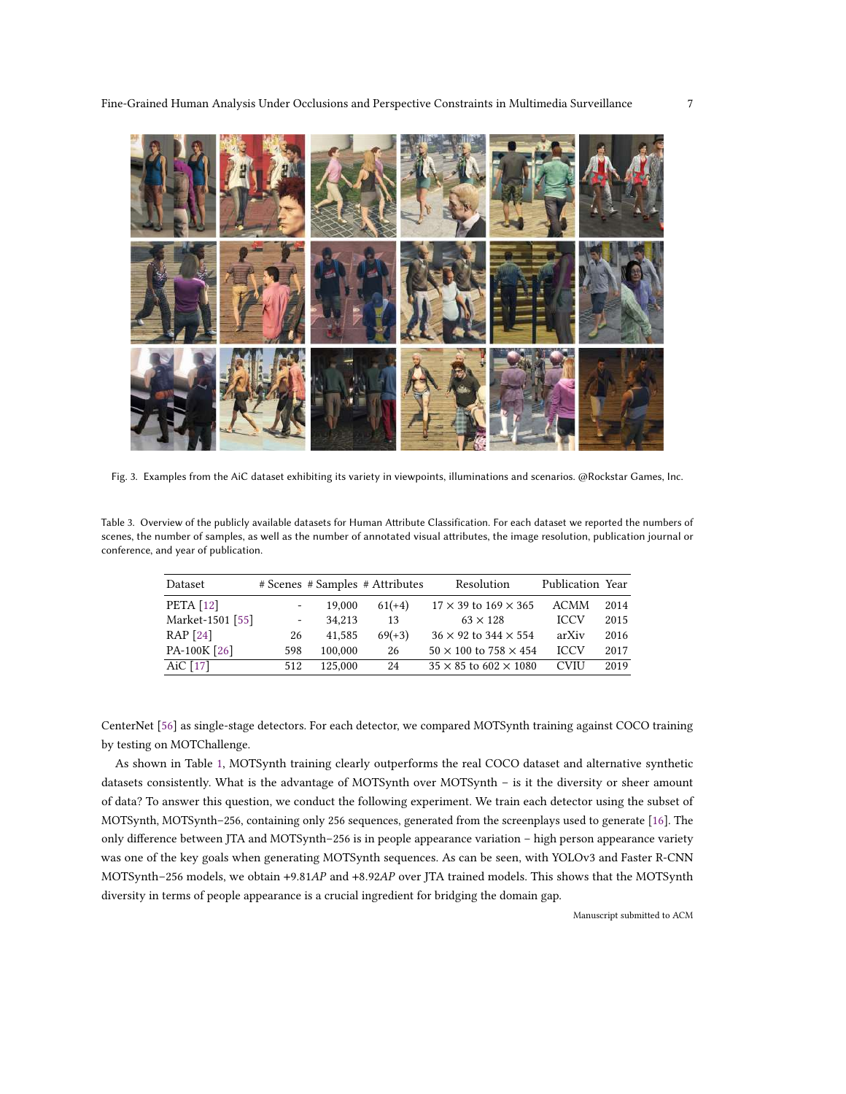<span id="page-6-0"></span>

Fig. 3. Examples from the AiC dataset exhibiting its variety in viewpoints, illuminations and scenarios. @Rockstar Games, Inc.

<span id="page-6-1"></span>Table 3. Overview of the publicly available datasets for Human Attribute Classification. For each dataset we reported the numbers of scenes, the number of samples, as well as the number of annotated visual attributes, the image resolution, publication journal or conference, and year of publication.

| Dataset          |                          |         | # Scenes # Samples # Attributes | Resolution                          | Publication Year |      |
|------------------|--------------------------|---------|---------------------------------|-------------------------------------|------------------|------|
| <b>PETA</b> [12] | $\overline{\phantom{a}}$ | 19,000  | $61(+4)$                        | $17 \times 39$ to $169 \times 365$  | <b>ACMM</b>      | 2014 |
| Market-1501 [55] | $\frac{1}{2}$            | 34.213  | 13                              | $63 \times 128$                     | <b>ICCV</b>      | 2015 |
| RAP $[24]$       | 26                       | 41.585  | $69(+3)$                        | $36 \times 92$ to $344 \times 554$  | arXiv            | 2016 |
| PA-100K [26]     | 598                      | 100,000 | 26                              | $50 \times 100$ to $758 \times 454$ | <b>ICCV</b>      | 2017 |
| AiC $[17]$       | 512                      | 125,000 | 24                              | $35 \times 85$ to $602 \times 1080$ | <b>CVIU</b>      | 2019 |

CenterNet [\[56\]](#page-21-2) as single-stage detectors. For each detector, we compared MOTSynth training against COCO training by testing on MOTChallenge.

As shown in Table [1,](#page-4-0) MOTSynth training clearly outperforms the real COCO dataset and alternative synthetic datasets consistently. What is the advantage of MOTSynth over MOTSynth – is it the diversity or sheer amount of data? To answer this question, we conduct the following experiment. We train each detector using the subset of MOTSynth, MOTSynth–256, containing only 256 sequences, generated from the screenplays used to generate [\[16\]](#page-20-7). The only difference between JTA and MOTSynth–256 is in people appearance variation – high person appearance variety was one of the key goals when generating MOTSynth sequences. As can be seen, with YOLOv3 and Faster R-CNN MOTSynth–256 models, we obtain +9.81AP and +8.92AP over JTA trained models. This shows that the MOTSynth diversity in terms of people appearance is a crucial ingredient for bridging the domain gap.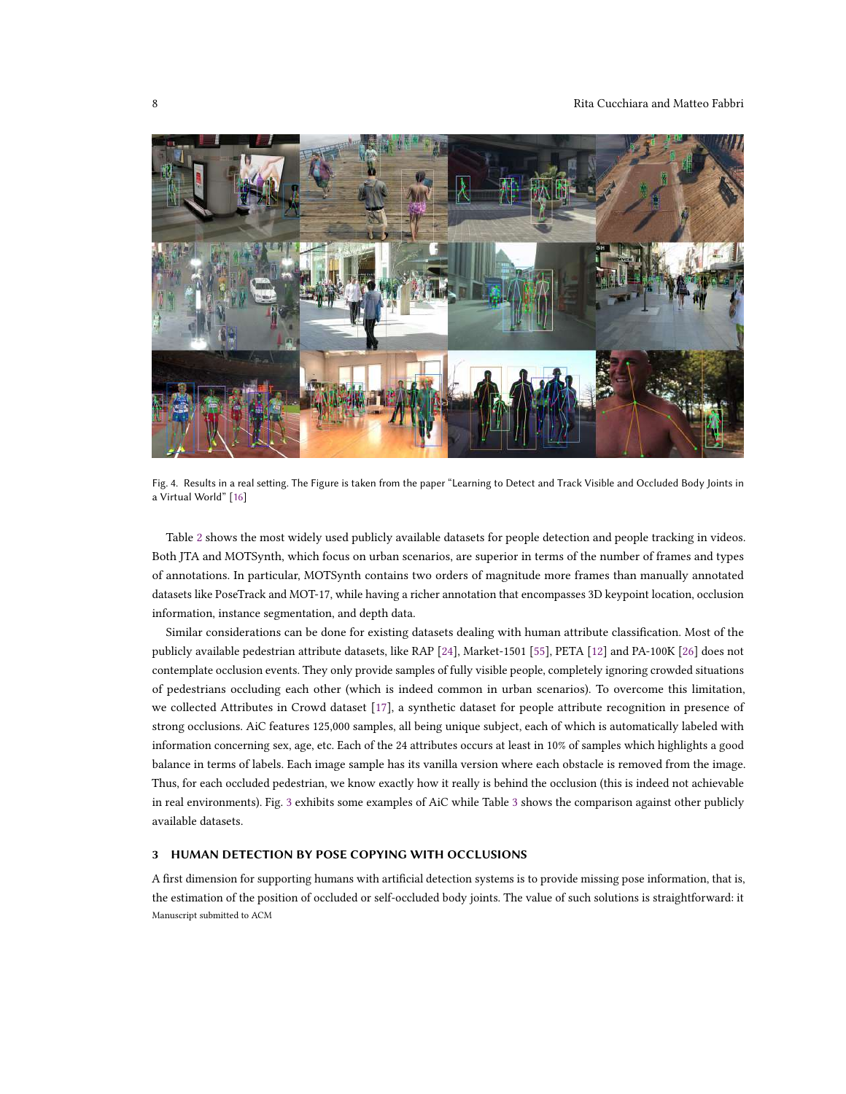<span id="page-7-0"></span>

Fig. 4. Results in a real setting. The Figure is taken from the paper "Learning to Detect and Track Visible and Occluded Body Joints in a Virtual World" [\[16\]](#page-20-7)

Table [2](#page-5-0) shows the most widely used publicly available datasets for people detection and people tracking in videos. Both JTA and MOTSynth, which focus on urban scenarios, are superior in terms of the number of frames and types of annotations. In particular, MOTSynth contains two orders of magnitude more frames than manually annotated datasets like PoseTrack and MOT-17, while having a richer annotation that encompasses 3D keypoint location, occlusion information, instance segmentation, and depth data.

Similar considerations can be done for existing datasets dealing with human attribute classification. Most of the publicly available pedestrian attribute datasets, like RAP [\[24\]](#page-20-15), Market-1501 [\[55\]](#page-21-6), PETA [\[12\]](#page-19-8) and PA-100K [\[26\]](#page-20-16) does not contemplate occlusion events. They only provide samples of fully visible people, completely ignoring crowded situations of pedestrians occluding each other (which is indeed common in urban scenarios). To overcome this limitation, we collected Attributes in Crowd dataset [\[17\]](#page-20-17), a synthetic dataset for people attribute recognition in presence of strong occlusions. AiC features 125,000 samples, all being unique subject, each of which is automatically labeled with information concerning sex, age, etc. Each of the 24 attributes occurs at least in 10% of samples which highlights a good balance in terms of labels. Each image sample has its vanilla version where each obstacle is removed from the image. Thus, for each occluded pedestrian, we know exactly how it really is behind the occlusion (this is indeed not achievable in real environments). Fig. [3](#page-6-0) exhibits some examples of AiC while Table [3](#page-6-1) shows the comparison against other publicly available datasets.

## 3 HUMAN DETECTION BY POSE COPYING WITH OCCLUSIONS

A first dimension for supporting humans with artificial detection systems is to provide missing pose information, that is, the estimation of the position of occluded or self-occluded body joints. The value of such solutions is straightforward: it Manuscript submitted to ACM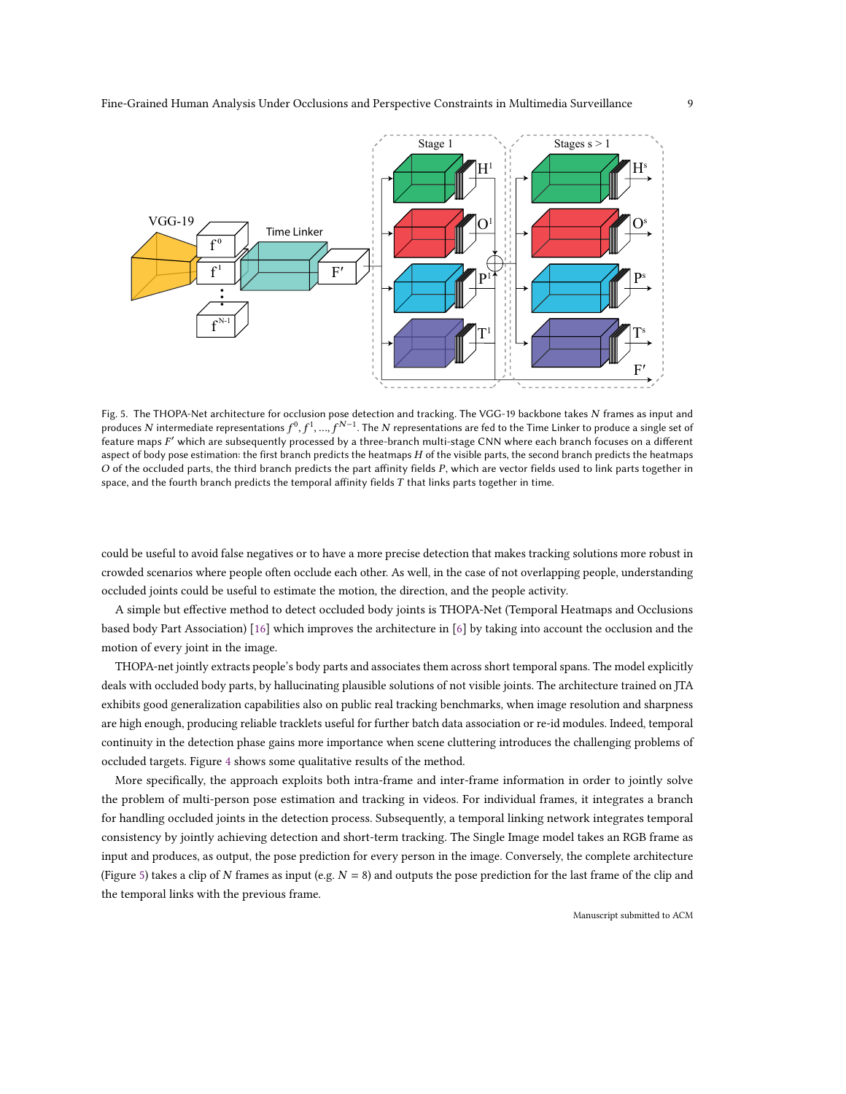<span id="page-8-0"></span>

Fig. 5. The THOPA-Net architecture for occlusion pose detection and tracking. The VGG-19 backbone takes  $N$  frames as input and produces N intermediate representations  $f^0, f^1, ..., f^{N-1}$ . The N representations are fed to the Time Linker to produce a single set of feature maps F' which are subsequently processed by a three-branch multi-stage CNN where each branch focuses on a different aspect of body pose estimation: the first branch predicts the heatmaps  $H$  of the visible parts, the second branch predicts the heatmaps  $O$  of the occluded parts, the third branch predicts the part affinity fields  $P$ , which are vector fields used to link parts together in space, and the fourth branch predicts the temporal affinity fields  $T$  that links parts together in time.

could be useful to avoid false negatives or to have a more precise detection that makes tracking solutions more robust in crowded scenarios where people often occlude each other. As well, in the case of not overlapping people, understanding occluded joints could be useful to estimate the motion, the direction, and the people activity.

A simple but effective method to detect occluded body joints is THOPA-Net (Temporal Heatmaps and Occlusions based body Part Association) [\[16\]](#page-20-7) which improves the architecture in [\[6\]](#page-19-2) by taking into account the occlusion and the motion of every joint in the image.

THOPA-net jointly extracts people's body parts and associates them across short temporal spans. The model explicitly deals with occluded body parts, by hallucinating plausible solutions of not visible joints. The architecture trained on JTA exhibits good generalization capabilities also on public real tracking benchmarks, when image resolution and sharpness are high enough, producing reliable tracklets useful for further batch data association or re-id modules. Indeed, temporal continuity in the detection phase gains more importance when scene cluttering introduces the challenging problems of occluded targets. Figure [4](#page-7-0) shows some qualitative results of the method.

More specifically, the approach exploits both intra-frame and inter-frame information in order to jointly solve the problem of multi-person pose estimation and tracking in videos. For individual frames, it integrates a branch for handling occluded joints in the detection process. Subsequently, a temporal linking network integrates temporal consistency by jointly achieving detection and short-term tracking. The Single Image model takes an RGB frame as input and produces, as output, the pose prediction for every person in the image. Conversely, the complete architecture (Figure [5\)](#page-8-0) takes a clip of N frames as input (e.g.  $N = 8$ ) and outputs the pose prediction for the last frame of the clip and the temporal links with the previous frame.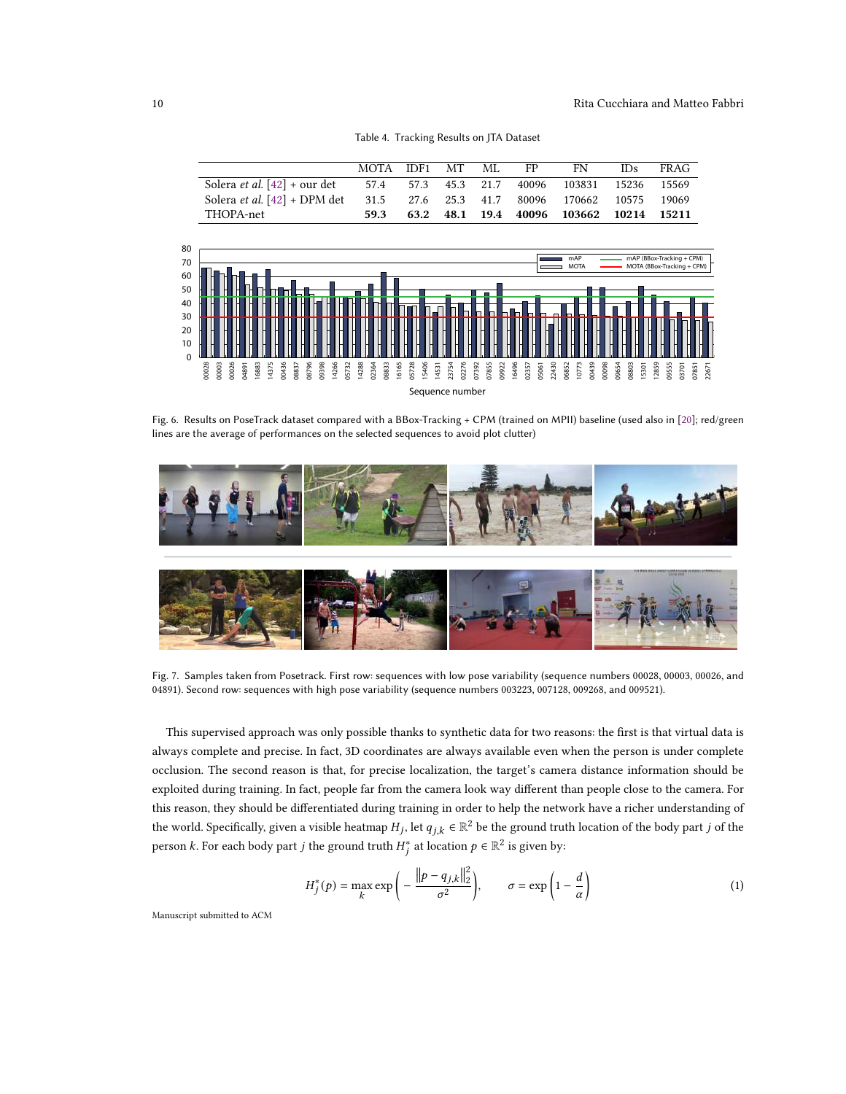<span id="page-9-0"></span>

|                                       | MOTA IDF1 | MT | ML | FP | <b>FN</b>                                    | IDs | FRAG |
|---------------------------------------|-----------|----|----|----|----------------------------------------------|-----|------|
| Solera <i>et al.</i> $[42]$ + our det |           |    |    |    | 57.4 57.3 45.3 21.7 40096 103831 15236 15569 |     |      |
| Solera <i>et al.</i> $[42]$ + DPM det |           |    |    |    | 31.5 27.6 25.3 41.7 80096 170662 10575 19069 |     |      |
| THOPA-net                             | 59.3      |    |    |    | 63.2 48.1 19.4 40096 103662 10214 15211      |     |      |

Table 4. Tracking Results on JTA Dataset

<span id="page-9-1"></span>

Fig. 6. Results on PoseTrack dataset compared with a BBox-Tracking + CPM (trained on MPII) baseline (used also in [\[20\]](#page-20-19); red/green lines are the average of performances on the selected sequences to avoid plot clutter)

<span id="page-9-2"></span>

Fig. 7. Samples taken from Posetrack. First row: sequences with low pose variability (sequence numbers 00028, 00003, 00026, and 04891). Second row: sequences with high pose variability (sequence numbers 003223, 007128, 009268, and 009521).

This supervised approach was only possible thanks to synthetic data for two reasons: the first is that virtual data is always complete and precise. In fact, 3D coordinates are always available even when the person is under complete occlusion. The second reason is that, for precise localization, the target's camera distance information should be exploited during training. In fact, people far from the camera look way different than people close to the camera. For this reason, they should be differentiated during training in order to help the network have a richer understanding of the world. Specifically, given a visible heatmap  $H_j$ , let  $q_{j,k} \in \mathbb{R}^2$  be the ground truth location of the body part  $j$  of the person k. For each body part  $j$  the ground truth  $H_j^*$  at location  $p \in \mathbb{R}^2$  is given by:

$$
H_j^*(p) = \max_k \exp\left(-\frac{\left\|p - q_{j,k}\right\|_2^2}{\sigma^2}\right), \qquad \sigma = \exp\left(1 - \frac{d}{\alpha}\right) \tag{1}
$$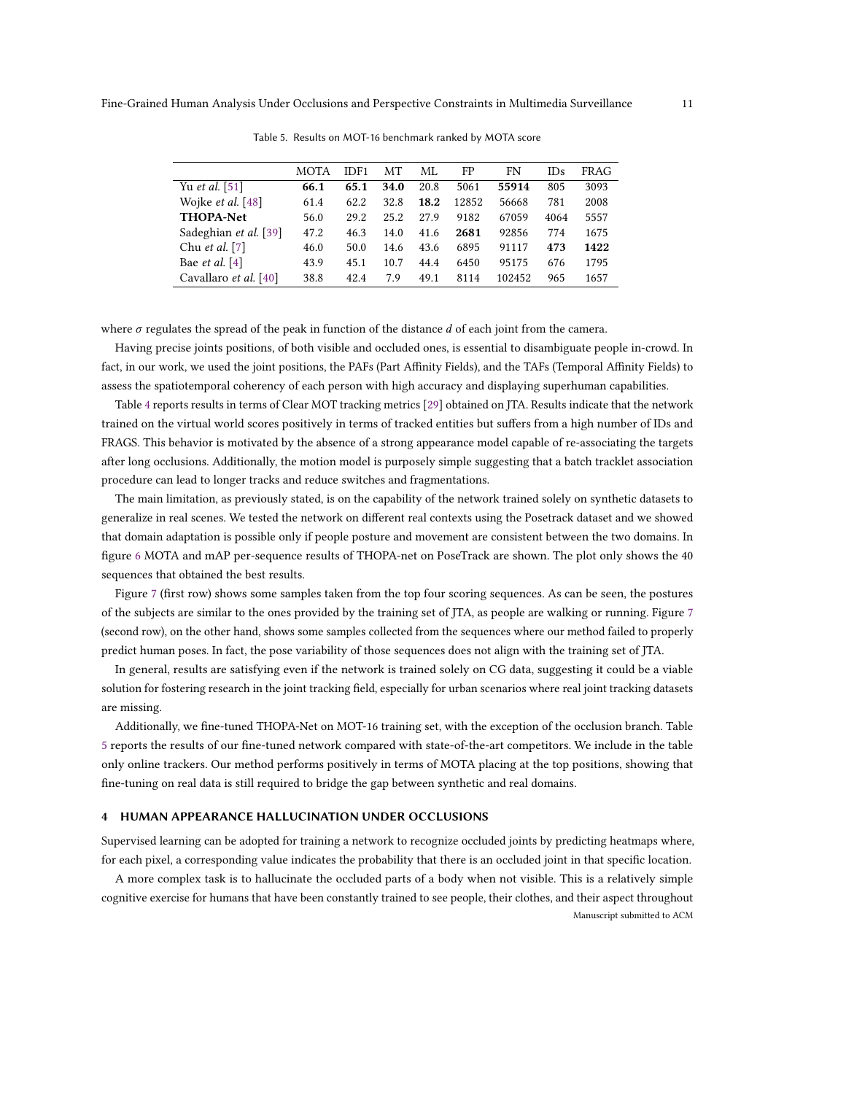<span id="page-10-0"></span>

|                                        | MOTA | IDF1 | MТ   | ML   | FP    | FN     | IDs  | <b>FRAG</b> |
|----------------------------------------|------|------|------|------|-------|--------|------|-------------|
| Yu <i>et al.</i> [51]                  | 66.1 | 65.1 | 34.0 | 20.8 | 5061  | 55914  | 805  | 3093        |
| Wojke <i>et al.</i> $\lceil 48 \rceil$ | 61.4 | 62.2 | 32.8 | 18.2 | 12852 | 56668  | 781  | 2008        |
| <b>THOPA-Net</b>                       | 56.0 | 29.2 | 25.2 | 27.9 | 9182  | 67059  | 4064 | 5557        |
| Sadeghian et al. [39]                  | 47.2 | 46.3 | 14.0 | 41.6 | 2681  | 92856  | 774  | 1675        |
| Chu <i>et al.</i> [7]                  | 46.0 | 50.0 | 14.6 | 43.6 | 6895  | 91117  | 473  | 1422        |
| Bae <i>et al.</i> $[4]$                | 43.9 | 45.1 | 10.7 | 44.4 | 6450  | 95175  | 676  | 1795        |
| Cavallaro <i>et al.</i> [40]           | 38.8 | 42.4 | 7.9  | 49.1 | 8114  | 102452 | 965  | 1657        |

Table 5. Results on MOT-16 benchmark ranked by MOTA score

where  $\sigma$  regulates the spread of the peak in function of the distance d of each joint from the camera.

Having precise joints positions, of both visible and occluded ones, is essential to disambiguate people in-crowd. In fact, in our work, we used the joint positions, the PAFs (Part Affinity Fields), and the TAFs (Temporal Affinity Fields) to assess the spatiotemporal coherency of each person with high accuracy and displaying superhuman capabilities.

Table [4](#page-9-0) reports results in terms of Clear MOT tracking metrics [\[29\]](#page-20-8) obtained on JTA. Results indicate that the network trained on the virtual world scores positively in terms of tracked entities but suffers from a high number of IDs and FRAGS. This behavior is motivated by the absence of a strong appearance model capable of re-associating the targets after long occlusions. Additionally, the motion model is purposely simple suggesting that a batch tracklet association procedure can lead to longer tracks and reduce switches and fragmentations.

The main limitation, as previously stated, is on the capability of the network trained solely on synthetic datasets to generalize in real scenes. We tested the network on different real contexts using the Posetrack dataset and we showed that domain adaptation is possible only if people posture and movement are consistent between the two domains. In figure [6](#page-9-1) MOTA and mAP per-sequence results of THOPA-net on PoseTrack are shown. The plot only shows the 40 sequences that obtained the best results.

Figure [7](#page-9-2) (first row) shows some samples taken from the top four scoring sequences. As can be seen, the postures of the subjects are similar to the ones provided by the training set of JTA, as people are walking or running. Figure [7](#page-9-2) (second row), on the other hand, shows some samples collected from the sequences where our method failed to properly predict human poses. In fact, the pose variability of those sequences does not align with the training set of JTA.

In general, results are satisfying even if the network is trained solely on CG data, suggesting it could be a viable solution for fostering research in the joint tracking field, especially for urban scenarios where real joint tracking datasets are missing.

Additionally, we fine-tuned THOPA-Net on MOT-16 training set, with the exception of the occlusion branch. Table [5](#page-10-0) reports the results of our fine-tuned network compared with state-of-the-art competitors. We include in the table only online trackers. Our method performs positively in terms of MOTA placing at the top positions, showing that fine-tuning on real data is still required to bridge the gap between synthetic and real domains.

#### 4 HUMAN APPEARANCE HALLUCINATION UNDER OCCLUSIONS

Supervised learning can be adopted for training a network to recognize occluded joints by predicting heatmaps where, for each pixel, a corresponding value indicates the probability that there is an occluded joint in that specific location.

A more complex task is to hallucinate the occluded parts of a body when not visible. This is a relatively simple cognitive exercise for humans that have been constantly trained to see people, their clothes, and their aspect throughout Manuscript submitted to ACM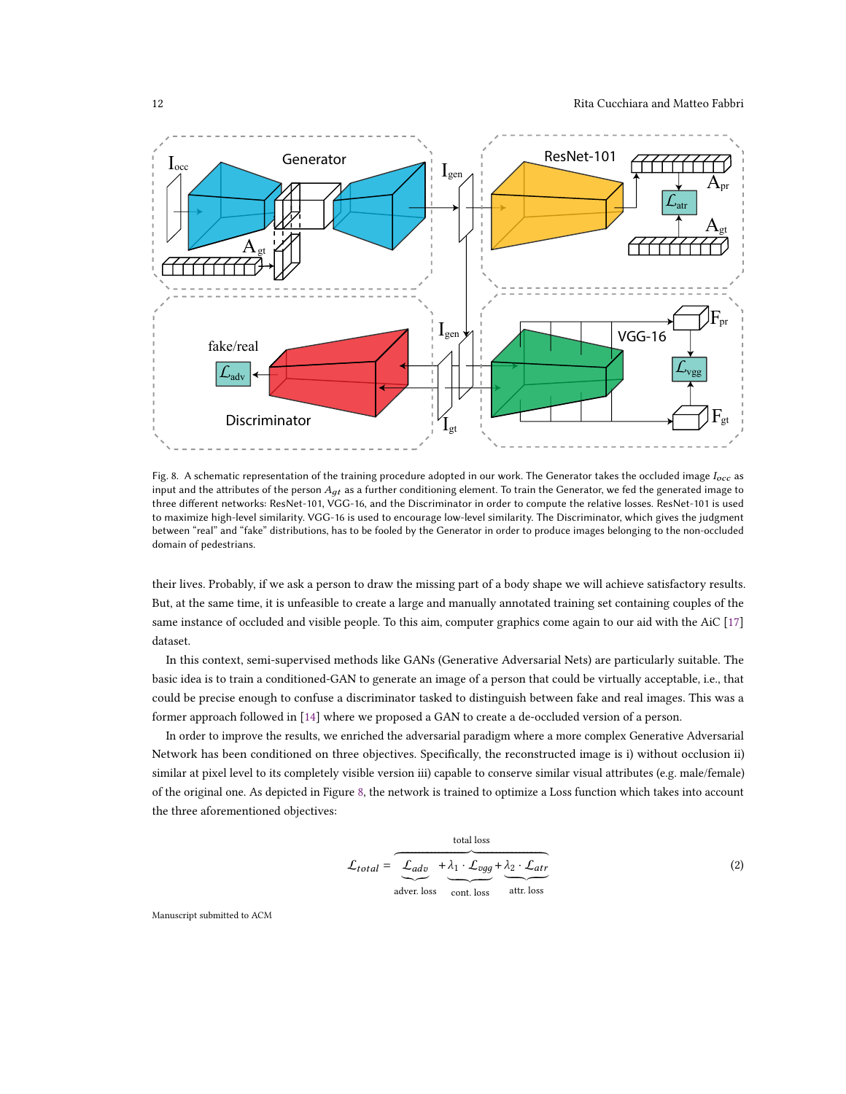<span id="page-11-0"></span>

Fig. 8. A schematic representation of the training procedure adopted in our work. The Generator takes the occluded image  $I_{occ}$  as input and the attributes of the person  $A_{qt}$  as a further conditioning element. To train the Generator, we fed the generated image to three different networks: ResNet-101, VGG-16, and the Discriminator in order to compute the relative losses. ResNet-101 is used to maximize high-level similarity. VGG-16 is used to encourage low-level similarity. The Discriminator, which gives the judgment between "real" and "fake" distributions, has to be fooled by the Generator in order to produce images belonging to the non-occluded domain of pedestrians.

their lives. Probably, if we ask a person to draw the missing part of a body shape we will achieve satisfactory results. But, at the same time, it is unfeasible to create a large and manually annotated training set containing couples of the same instance of occluded and visible people. To this aim, computer graphics come again to our aid with the AiC [\[17\]](#page-20-17) dataset.

In this context, semi-supervised methods like GANs (Generative Adversarial Nets) are particularly suitable. The basic idea is to train a conditioned-GAN to generate an image of a person that could be virtually acceptable, i.e., that could be precise enough to confuse a discriminator tasked to distinguish between fake and real images. This was a former approach followed in [\[14\]](#page-19-11) where we proposed a GAN to create a de-occluded version of a person.

In order to improve the results, we enriched the adversarial paradigm where a more complex Generative Adversarial Network has been conditioned on three objectives. Specifically, the reconstructed image is i) without occlusion ii) similar at pixel level to its completely visible version iii) capable to conserve similar visual attributes (e.g. male/female) of the original one. As depicted in Figure [8,](#page-11-0) the network is trained to optimize a Loss function which takes into account the three aforementioned objectives:

$$
\mathcal{L}_{total} = \underbrace{\mathcal{L}_{adv} + \lambda_1 \cdot \mathcal{L}_{vgg} + \lambda_2 \cdot \mathcal{L}_{atr}}_{\text{adver. loss}} \tag{2}
$$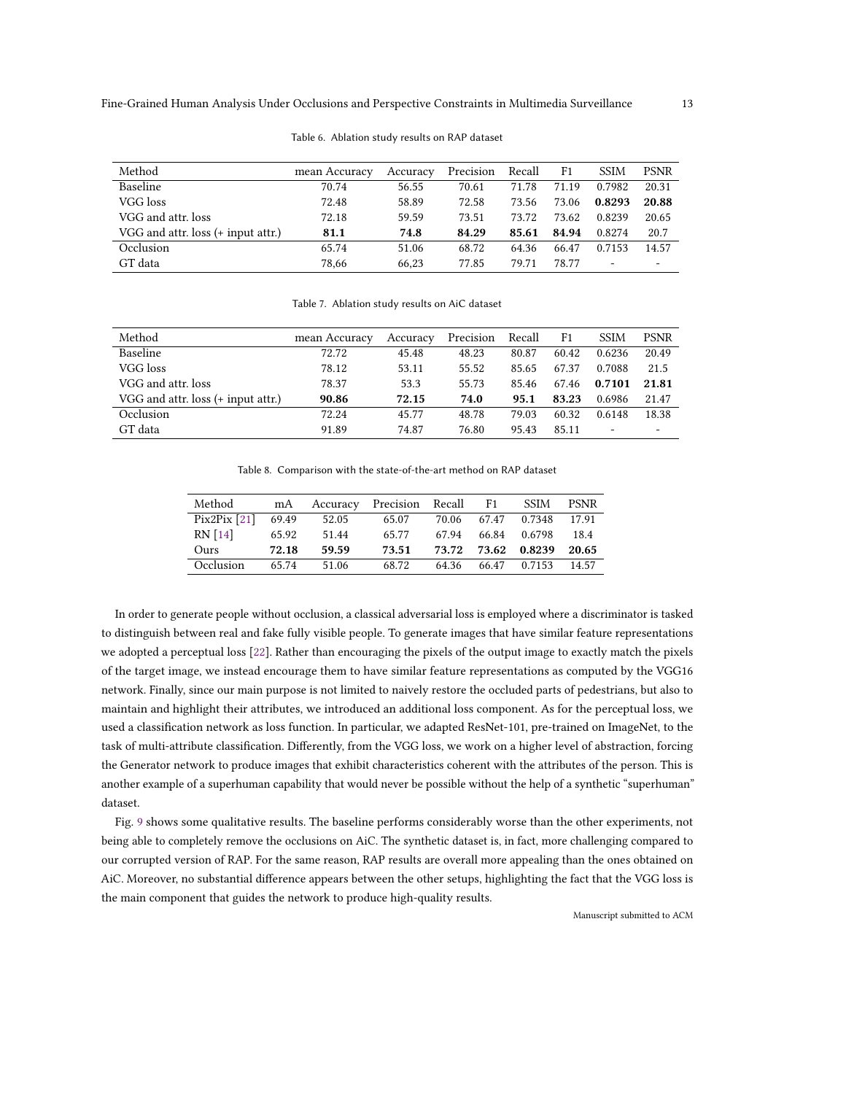<span id="page-12-0"></span>

| Method                             | mean Accuracy | Accuracy | Precision | Recall | F1    | <b>SSIM</b> | <b>PSNR</b> |
|------------------------------------|---------------|----------|-----------|--------|-------|-------------|-------------|
| <b>Baseline</b>                    | 70.74         | 56.55    | 70.61     | 71.78  | 71.19 | 0.7982      | 20.31       |
| VGG loss                           | 72.48         | 58.89    | 72.58     | 73.56  | 73.06 | 0.8293      | 20.88       |
| VGG and attr. loss                 | 72.18         | 59.59    | 73.51     | 73.72  | 73.62 | 0.8239      | 20.65       |
| VGG and attr. loss (+ input attr.) | 81.1          | 74.8     | 84.29     | 85.61  | 84.94 | 0.8274      | 20.7        |
| Occlusion                          | 65.74         | 51.06    | 68.72     | 64.36  | 66.47 | 0.7153      | 14.57       |
| GT data                            | 78.66         | 66.23    | 77.85     | 79.71  | 78.77 | ٠           | -           |

Table 6. Ablation study results on RAP dataset

Table 7. Ablation study results on AiC dataset

<span id="page-12-1"></span>

| Method                             | mean Accuracy | Accuracy | Precision | Recall | F1    | <b>SSIM</b>              | <b>PSNR</b> |
|------------------------------------|---------------|----------|-----------|--------|-------|--------------------------|-------------|
| <b>Baseline</b>                    | 72.72         | 45.48    | 48.23     | 80.87  | 60.42 | 0.6236                   | 20.49       |
| VGG loss                           | 78.12         | 53.11    | 55.52     | 85.65  | 67.37 | 0.7088                   | 21.5        |
| VGG and attr. loss                 | 78.37         | 53.3     | 55.73     | 85.46  | 67.46 | 0.7101                   | 21.81       |
| VGG and attr. loss (+ input attr.) | 90.86         | 72.15    | 74.0      | 95.1   | 83.23 | 0.6986                   | 21.47       |
| Occlusion                          | 72.24         | 45.77    | 48.78     | 79.03  | 60.32 | 0.6148                   | 18.38       |
| GT data                            | 91.89         | 74.87    | 76.80     | 95.43  | 85.11 | $\overline{\phantom{a}}$ |             |

Table 8. Comparison with the state-of-the-art method on RAP dataset

| Method               |       | mA Accuracy Precision Recall F1 |                                |  | SSIM                     | <b>PSNR</b> |
|----------------------|-------|---------------------------------|--------------------------------|--|--------------------------|-------------|
| Pix2Pix $[21]$ 69.49 |       | 52.05                           | 65.07 70.06 67.47 0.7348 17.91 |  |                          |             |
| RN[14]               | 65.92 | 51.44                           | 65.77                          |  | 67.94 66.84 0.6798       | 18.4        |
| <b>Ours</b>          | 72.18 | 59.59                           | 73.51                          |  | 73.72 73.62 0.8239       | 20.65       |
| Occlusion            | 65.74 | 51.06                           | 68.72                          |  | 64.36 66.47 0.7153 14.57 |             |

In order to generate people without occlusion, a classical adversarial loss is employed where a discriminator is tasked to distinguish between real and fake fully visible people. To generate images that have similar feature representations we adopted a perceptual loss [\[22\]](#page-20-23). Rather than encouraging the pixels of the output image to exactly match the pixels of the target image, we instead encourage them to have similar feature representations as computed by the VGG16 network. Finally, since our main purpose is not limited to naively restore the occluded parts of pedestrians, but also to maintain and highlight their attributes, we introduced an additional loss component. As for the perceptual loss, we used a classification network as loss function. In particular, we adapted ResNet-101, pre-trained on ImageNet, to the task of multi-attribute classification. Differently, from the VGG loss, we work on a higher level of abstraction, forcing the Generator network to produce images that exhibit characteristics coherent with the attributes of the person. This is another example of a superhuman capability that would never be possible without the help of a synthetic "superhuman" dataset.

Fig. [9](#page-13-0) shows some qualitative results. The baseline performs considerably worse than the other experiments, not being able to completely remove the occlusions on AiC. The synthetic dataset is, in fact, more challenging compared to our corrupted version of RAP. For the same reason, RAP results are overall more appealing than the ones obtained on AiC. Moreover, no substantial difference appears between the other setups, highlighting the fact that the VGG loss is the main component that guides the network to produce high-quality results.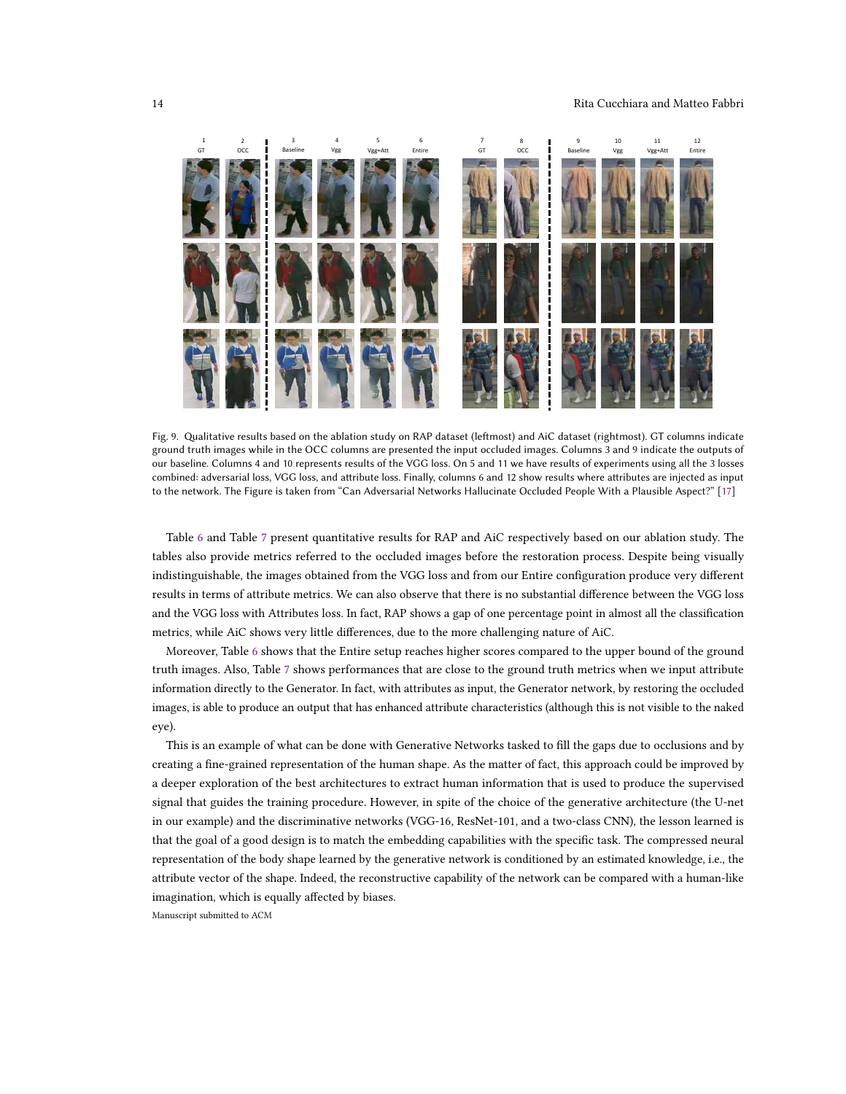<span id="page-13-0"></span>

Fig. 9. Qualitative results based on the ablation study on RAP dataset (leftmost) and AiC dataset (rightmost). GT columns indicate ground truth images while in the OCC columns are presented the input occluded images. Columns 3 and 9 indicate the outputs of our baseline. Columns 4 and 10 represents results of the VGG loss. On 5 and 11 we have results of experiments using all the 3 losses combined: adversarial loss, VGG loss, and attribute loss. Finally, columns 6 and 12 show results where attributes are injected as input to the network. The Figure is taken from "Can Adversarial Networks Hallucinate Occluded People With a Plausible Aspect?" [\[17\]](#page-20-17)

Table [6](#page-12-0) and Table [7](#page-12-1) present quantitative results for RAP and AiC respectively based on our ablation study. The tables also provide metrics referred to the occluded images before the restoration process. Despite being visually indistinguishable, the images obtained from the VGG loss and from our Entire configuration produce very different results in terms of attribute metrics. We can also observe that there is no substantial difference between the VGG loss and the VGG loss with Attributes loss. In fact, RAP shows a gap of one percentage point in almost all the classification metrics, while AiC shows very little differences, due to the more challenging nature of AiC.

Moreover, Table [6](#page-12-0) shows that the Entire setup reaches higher scores compared to the upper bound of the ground truth images. Also, Table [7](#page-12-1) shows performances that are close to the ground truth metrics when we input attribute information directly to the Generator. In fact, with attributes as input, the Generator network, by restoring the occluded images, is able to produce an output that has enhanced attribute characteristics (although this is not visible to the naked eye).

This is an example of what can be done with Generative Networks tasked to fill the gaps due to occlusions and by creating a fine-grained representation of the human shape. As the matter of fact, this approach could be improved by a deeper exploration of the best architectures to extract human information that is used to produce the supervised signal that guides the training procedure. However, in spite of the choice of the generative architecture (the U-net in our example) and the discriminative networks (VGG-16, ResNet-101, and a two-class CNN), the lesson learned is that the goal of a good design is to match the embedding capabilities with the specific task. The compressed neural representation of the body shape learned by the generative network is conditioned by an estimated knowledge, i.e., the attribute vector of the shape. Indeed, the reconstructive capability of the network can be compared with a human-like imagination, which is equally affected by biases.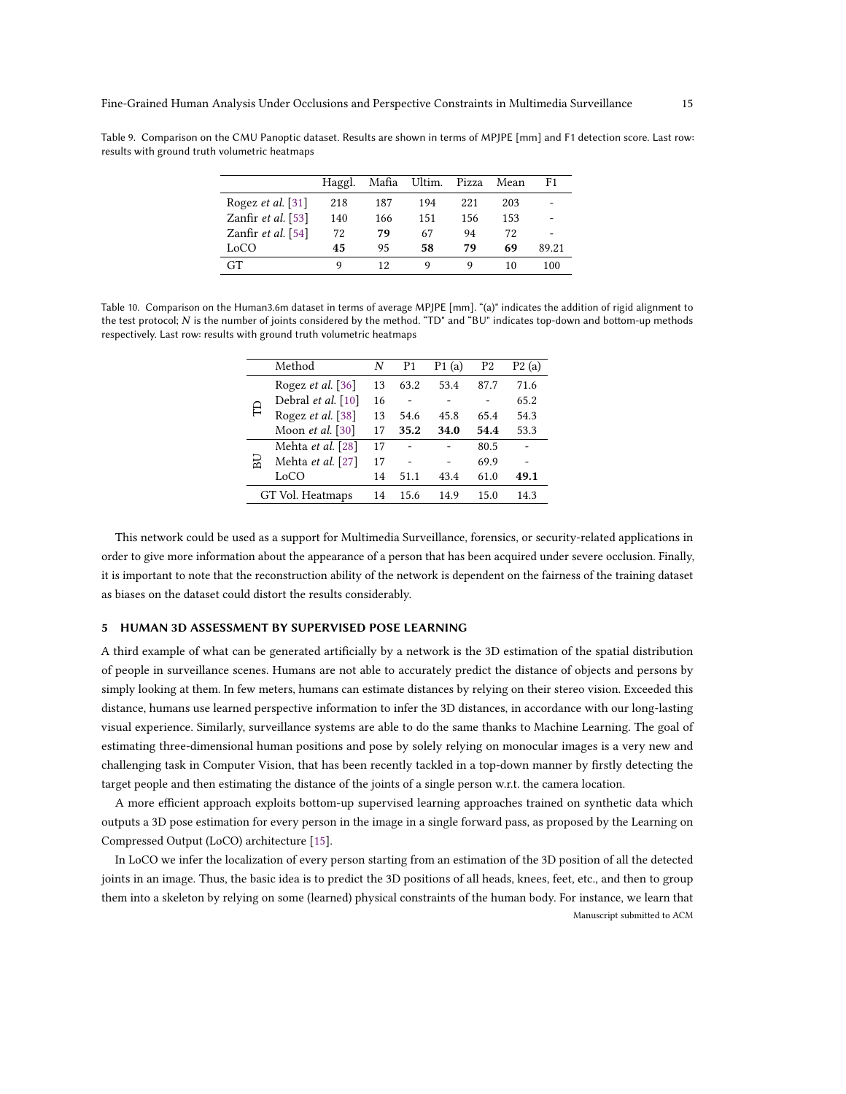|                                         | Haggl. |     | Mafia Ultim. | Pizza | Mean | F1    |
|-----------------------------------------|--------|-----|--------------|-------|------|-------|
| Rogez <i>et al.</i> $\left[31\right]$   | 218    | 187 | 194          | 221   | 203  |       |
| Zanfir et al. $[53]$                    | 140    | 166 | 151          | 156   | 153  |       |
| Zanfir <i>et al.</i> $\lceil 54 \rceil$ | 72     | 79  | 67           | 94    | 72   |       |
| LoCO                                    | 45     | 95  | 58           | 79    | 69   | 89.21 |
| GT                                      |        | 12  |              |       | 10   | 100   |

<span id="page-14-0"></span>Table 9. Comparison on the CMU Panoptic dataset. Results are shown in terms of MPJPE [mm] and F1 detection score. Last row: results with ground truth volumetric heatmaps

<span id="page-14-1"></span>Table 10. Comparison on the Human3.6m dataset in terms of average MPJPE [mm]. "(a)" indicates the addition of rigid alignment to the test protocol; N is the number of joints considered by the method. "TD" and "BU" indicates top-down and bottom-up methods respectively. Last row: results with ground truth volumetric heatmaps

|                  | Method             | N  | P1   | P1 (a) | P2   | P2(a) |
|------------------|--------------------|----|------|--------|------|-------|
| Ê                | Rogez et al. [36]  | 13 | 63.2 | 53.4   | 87.7 | 71.6  |
|                  | Debral et al. [10] | 16 |      |        |      | 65.2  |
|                  | Rogez et al. [38]  | 13 | 54.6 | 45.8   | 65.4 | 54.3  |
|                  | Moon et al. $[30]$ | 17 | 35.2 | 34.0   | 54.4 | 53.3  |
|                  | Mehta et al. [28]  | 17 |      |        | 80.5 |       |
| BU               | Mehta et al. [27]  | 17 |      |        | 69.9 |       |
|                  | LoCO               | 14 | 51.1 | 43.4   | 61.0 | 49.1  |
| GT Vol. Heatmaps |                    | 14 | 15.6 | 14.9   | 15.0 | 14.3  |

This network could be used as a support for Multimedia Surveillance, forensics, or security-related applications in order to give more information about the appearance of a person that has been acquired under severe occlusion. Finally, it is important to note that the reconstruction ability of the network is dependent on the fairness of the training dataset as biases on the dataset could distort the results considerably.

## 5 HUMAN 3D ASSESSMENT BY SUPERVISED POSE LEARNING

A third example of what can be generated artificially by a network is the 3D estimation of the spatial distribution of people in surveillance scenes. Humans are not able to accurately predict the distance of objects and persons by simply looking at them. In few meters, humans can estimate distances by relying on their stereo vision. Exceeded this distance, humans use learned perspective information to infer the 3D distances, in accordance with our long-lasting visual experience. Similarly, surveillance systems are able to do the same thanks to Machine Learning. The goal of estimating three-dimensional human positions and pose by solely relying on monocular images is a very new and challenging task in Computer Vision, that has been recently tackled in a top-down manner by firstly detecting the target people and then estimating the distance of the joints of a single person w.r.t. the camera location.

A more efficient approach exploits bottom-up supervised learning approaches trained on synthetic data which outputs a 3D pose estimation for every person in the image in a single forward pass, as proposed by the Learning on Compressed Output (LoCO) architecture [\[15\]](#page-20-1).

In LoCO we infer the localization of every person starting from an estimation of the 3D position of all the detected joints in an image. Thus, the basic idea is to predict the 3D positions of all heads, knees, feet, etc., and then to group them into a skeleton by relying on some (learned) physical constraints of the human body. For instance, we learn that Manuscript submitted to ACM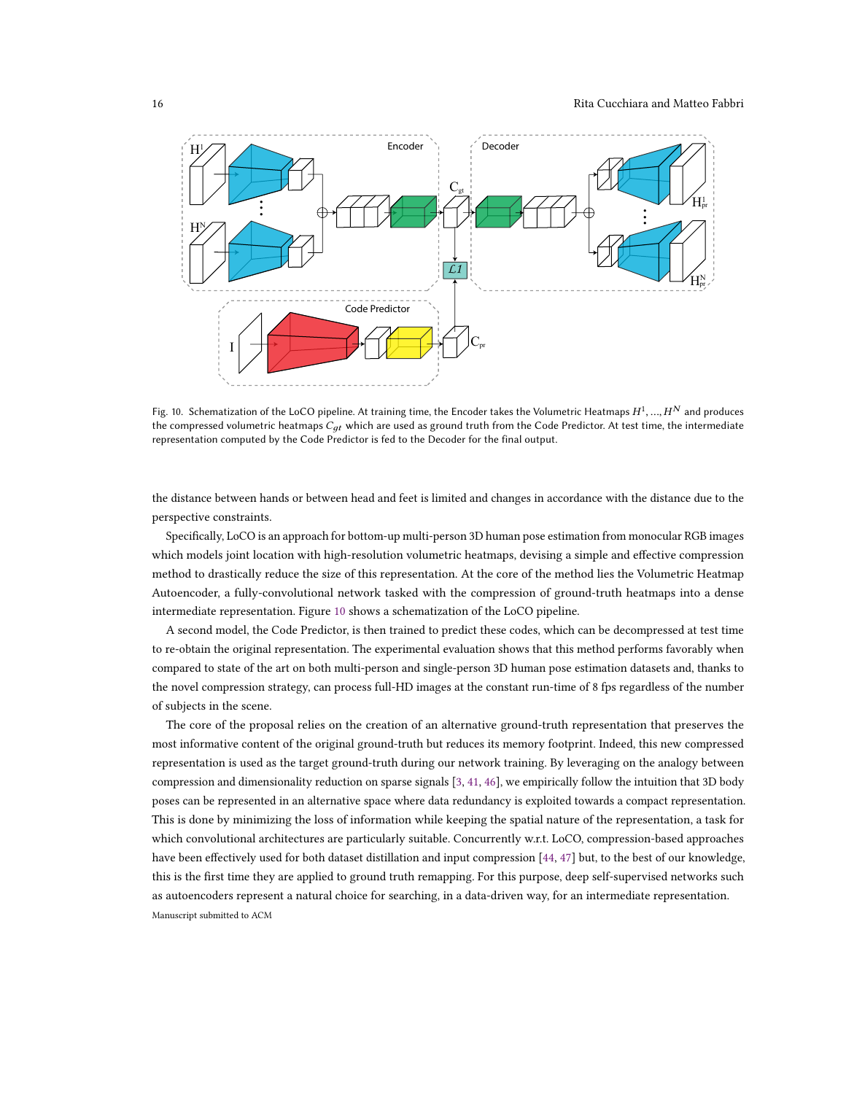<span id="page-15-0"></span>

Fig. 10. Schematization of the LoCO pipeline. At training time, the Encoder takes the Volumetric Heatmaps  $H^1,...,H^N$  and produces the compressed volumetric heatmaps  $C_{qt}$  which are used as ground truth from the Code Predictor. At test time, the intermediate representation computed by the Code Predictor is fed to the Decoder for the final output.

the distance between hands or between head and feet is limited and changes in accordance with the distance due to the perspective constraints.

Specifically, LoCO is an approach for bottom-up multi-person 3D human pose estimation from monocular RGB images which models joint location with high-resolution volumetric heatmaps, devising a simple and effective compression method to drastically reduce the size of this representation. At the core of the method lies the Volumetric Heatmap Autoencoder, a fully-convolutional network tasked with the compression of ground-truth heatmaps into a dense intermediate representation. Figure [10](#page-15-0) shows a schematization of the LoCO pipeline.

A second model, the Code Predictor, is then trained to predict these codes, which can be decompressed at test time to re-obtain the original representation. The experimental evaluation shows that this method performs favorably when compared to state of the art on both multi-person and single-person 3D human pose estimation datasets and, thanks to the novel compression strategy, can process full-HD images at the constant run-time of 8 fps regardless of the number of subjects in the scene.

The core of the proposal relies on the creation of an alternative ground-truth representation that preserves the most informative content of the original ground-truth but reduces its memory footprint. Indeed, this new compressed representation is used as the target ground-truth during our network training. By leveraging on the analogy between compression and dimensionality reduction on sparse signals [\[3,](#page-19-13) [41,](#page-20-28) [46\]](#page-21-11), we empirically follow the intuition that 3D body poses can be represented in an alternative space where data redundancy is exploited towards a compact representation. This is done by minimizing the loss of information while keeping the spatial nature of the representation, a task for which convolutional architectures are particularly suitable. Concurrently w.r.t. LoCO, compression-based approaches have been effectively used for both dataset distillation and input compression [\[44,](#page-21-12) [47\]](#page-21-13) but, to the best of our knowledge, this is the first time they are applied to ground truth remapping. For this purpose, deep self-supervised networks such as autoencoders represent a natural choice for searching, in a data-driven way, for an intermediate representation. Manuscript submitted to ACM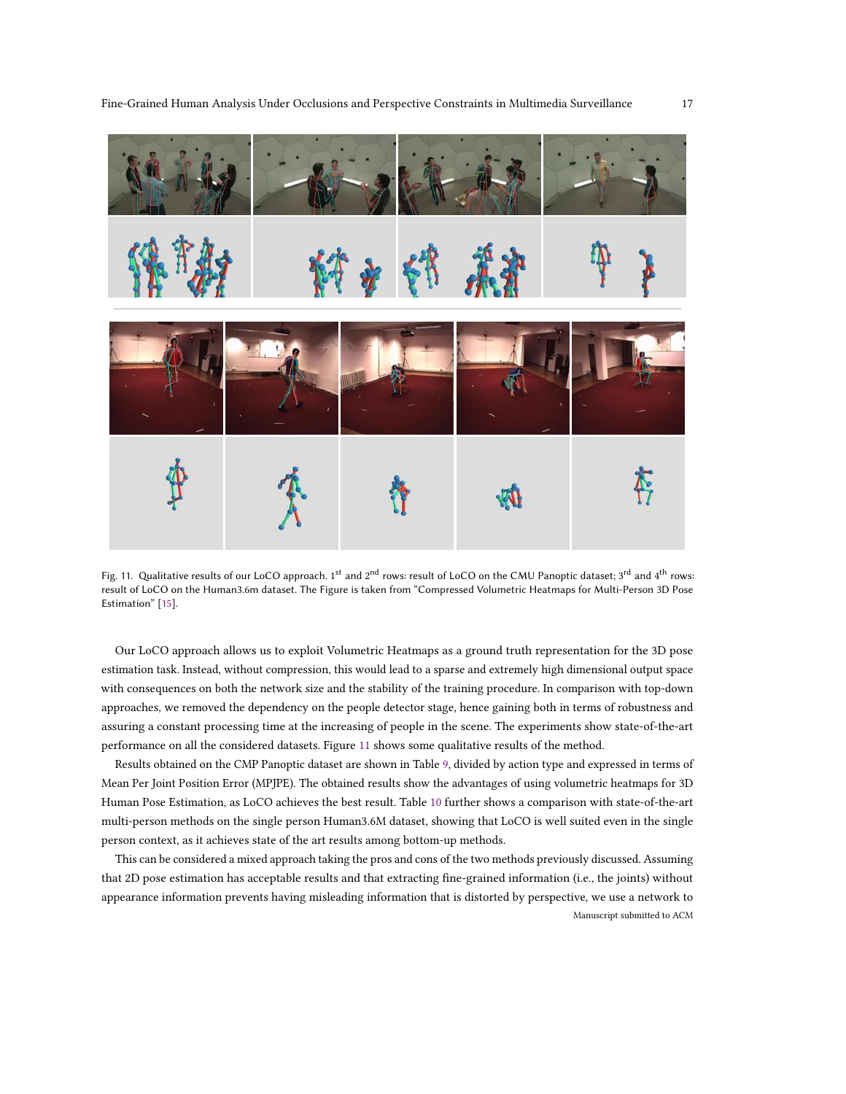<span id="page-16-0"></span>

Fig. 11. Qualitative results of our LoCO approach. 1<sup>st</sup> and 2<sup>nd</sup> rows: result of LoCO on the CMU Panoptic dataset; 3<sup>rd</sup> and 4<sup>th</sup> rows: result of LoCO on the Human3.6m dataset. The Figure is taken from "Compressed Volumetric Heatmaps for Multi-Person 3D Pose Estimation" [\[15\]](#page-20-1).

Our LoCO approach allows us to exploit Volumetric Heatmaps as a ground truth representation for the 3D pose estimation task. Instead, without compression, this would lead to a sparse and extremely high dimensional output space with consequences on both the network size and the stability of the training procedure. In comparison with top-down approaches, we removed the dependency on the people detector stage, hence gaining both in terms of robustness and assuring a constant processing time at the increasing of people in the scene. The experiments show state-of-the-art performance on all the considered datasets. Figure [11](#page-16-0) shows some qualitative results of the method.

Results obtained on the CMP Panoptic dataset are shown in Table [9,](#page-14-0) divided by action type and expressed in terms of Mean Per Joint Position Error (MPJPE). The obtained results show the advantages of using volumetric heatmaps for 3D Human Pose Estimation, as LoCO achieves the best result. Table [10](#page-14-1) further shows a comparison with state-of-the-art multi-person methods on the single person Human3.6M dataset, showing that LoCO is well suited even in the single person context, as it achieves state of the art results among bottom-up methods.

This can be considered a mixed approach taking the pros and cons of the two methods previously discussed. Assuming that 2D pose estimation has acceptable results and that extracting fine-grained information (i.e., the joints) without appearance information prevents having misleading information that is distorted by perspective, we use a network to Manuscript submitted to ACM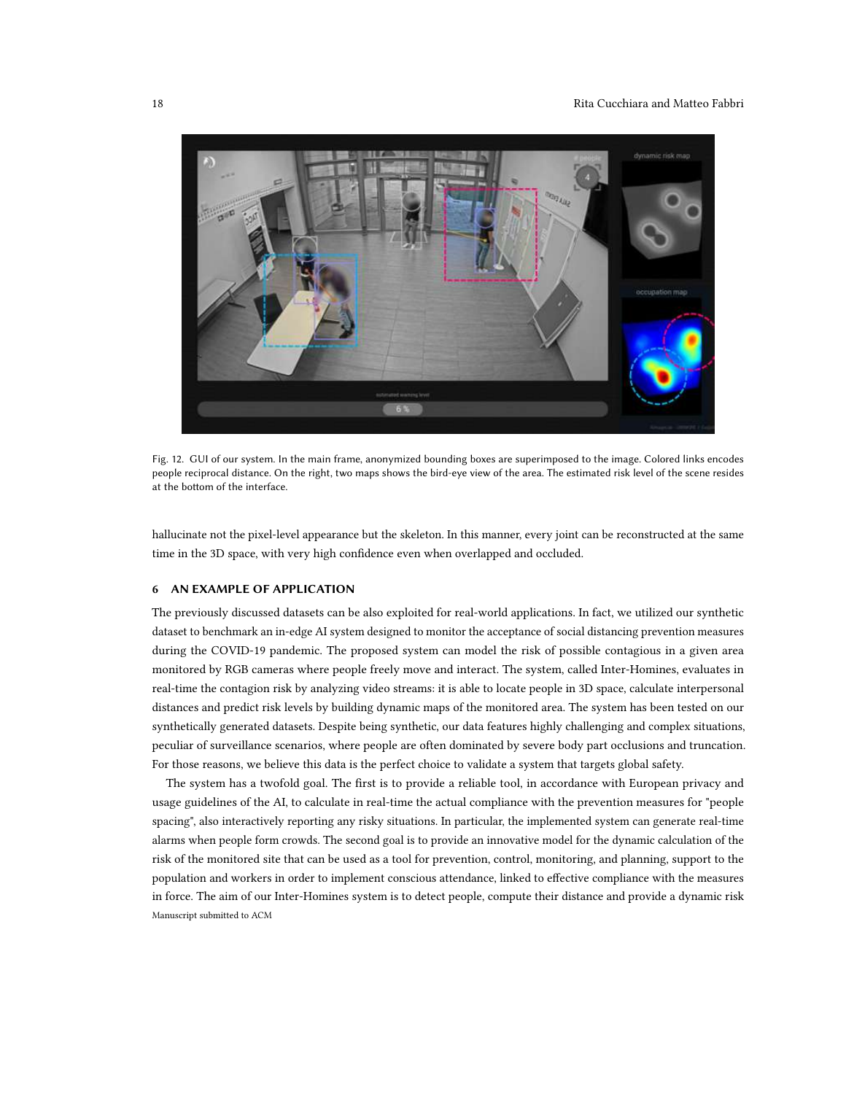<span id="page-17-0"></span>

Fig. 12. GUI of our system. In the main frame, anonymized bounding boxes are superimposed to the image. Colored links encodes people reciprocal distance. On the right, two maps shows the bird-eye view of the area. The estimated risk level of the scene resides at the bottom of the interface.

hallucinate not the pixel-level appearance but the skeleton. In this manner, every joint can be reconstructed at the same time in the 3D space, with very high confidence even when overlapped and occluded.

#### 6 AN EXAMPLE OF APPLICATION

The previously discussed datasets can be also exploited for real-world applications. In fact, we utilized our synthetic dataset to benchmark an in-edge AI system designed to monitor the acceptance of social distancing prevention measures during the COVID-19 pandemic. The proposed system can model the risk of possible contagious in a given area monitored by RGB cameras where people freely move and interact. The system, called Inter-Homines, evaluates in real-time the contagion risk by analyzing video streams: it is able to locate people in 3D space, calculate interpersonal distances and predict risk levels by building dynamic maps of the monitored area. The system has been tested on our synthetically generated datasets. Despite being synthetic, our data features highly challenging and complex situations, peculiar of surveillance scenarios, where people are often dominated by severe body part occlusions and truncation. For those reasons, we believe this data is the perfect choice to validate a system that targets global safety.

The system has a twofold goal. The first is to provide a reliable tool, in accordance with European privacy and usage guidelines of the AI, to calculate in real-time the actual compliance with the prevention measures for "people spacing", also interactively reporting any risky situations. In particular, the implemented system can generate real-time alarms when people form crowds. The second goal is to provide an innovative model for the dynamic calculation of the risk of the monitored site that can be used as a tool for prevention, control, monitoring, and planning, support to the population and workers in order to implement conscious attendance, linked to effective compliance with the measures in force. The aim of our Inter-Homines system is to detect people, compute their distance and provide a dynamic risk Manuscript submitted to ACM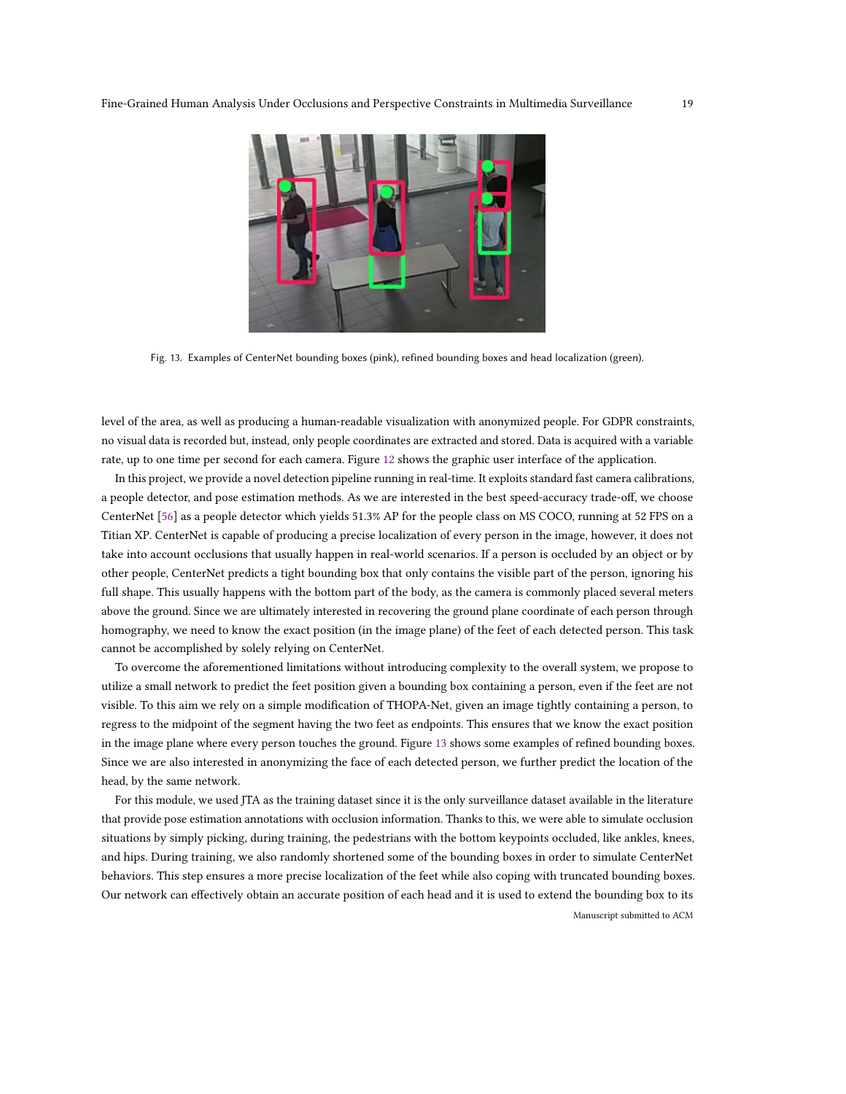<span id="page-18-0"></span>

Fig. 13. Examples of CenterNet bounding boxes (pink), refined bounding boxes and head localization (green).

level of the area, as well as producing a human-readable visualization with anonymized people. For GDPR constraints, no visual data is recorded but, instead, only people coordinates are extracted and stored. Data is acquired with a variable rate, up to one time per second for each camera. Figure [12](#page-17-0) shows the graphic user interface of the application.

In this project, we provide a novel detection pipeline running in real-time. It exploits standard fast camera calibrations, a people detector, and pose estimation methods. As we are interested in the best speed-accuracy trade-off, we choose CenterNet [\[56\]](#page-21-2) as a people detector which yields 51.3% AP for the people class on MS COCO, running at 52 FPS on a Titian XP. CenterNet is capable of producing a precise localization of every person in the image, however, it does not take into account occlusions that usually happen in real-world scenarios. If a person is occluded by an object or by other people, CenterNet predicts a tight bounding box that only contains the visible part of the person, ignoring his full shape. This usually happens with the bottom part of the body, as the camera is commonly placed several meters above the ground. Since we are ultimately interested in recovering the ground plane coordinate of each person through homography, we need to know the exact position (in the image plane) of the feet of each detected person. This task cannot be accomplished by solely relying on CenterNet.

To overcome the aforementioned limitations without introducing complexity to the overall system, we propose to utilize a small network to predict the feet position given a bounding box containing a person, even if the feet are not visible. To this aim we rely on a simple modification of THOPA-Net, given an image tightly containing a person, to regress to the midpoint of the segment having the two feet as endpoints. This ensures that we know the exact position in the image plane where every person touches the ground. Figure [13](#page-18-0) shows some examples of refined bounding boxes. Since we are also interested in anonymizing the face of each detected person, we further predict the location of the head, by the same network.

For this module, we used JTA as the training dataset since it is the only surveillance dataset available in the literature that provide pose estimation annotations with occlusion information. Thanks to this, we were able to simulate occlusion situations by simply picking, during training, the pedestrians with the bottom keypoints occluded, like ankles, knees, and hips. During training, we also randomly shortened some of the bounding boxes in order to simulate CenterNet behaviors. This step ensures a more precise localization of the feet while also coping with truncated bounding boxes. Our network can effectively obtain an accurate position of each head and it is used to extend the bounding box to its Manuscript submitted to ACM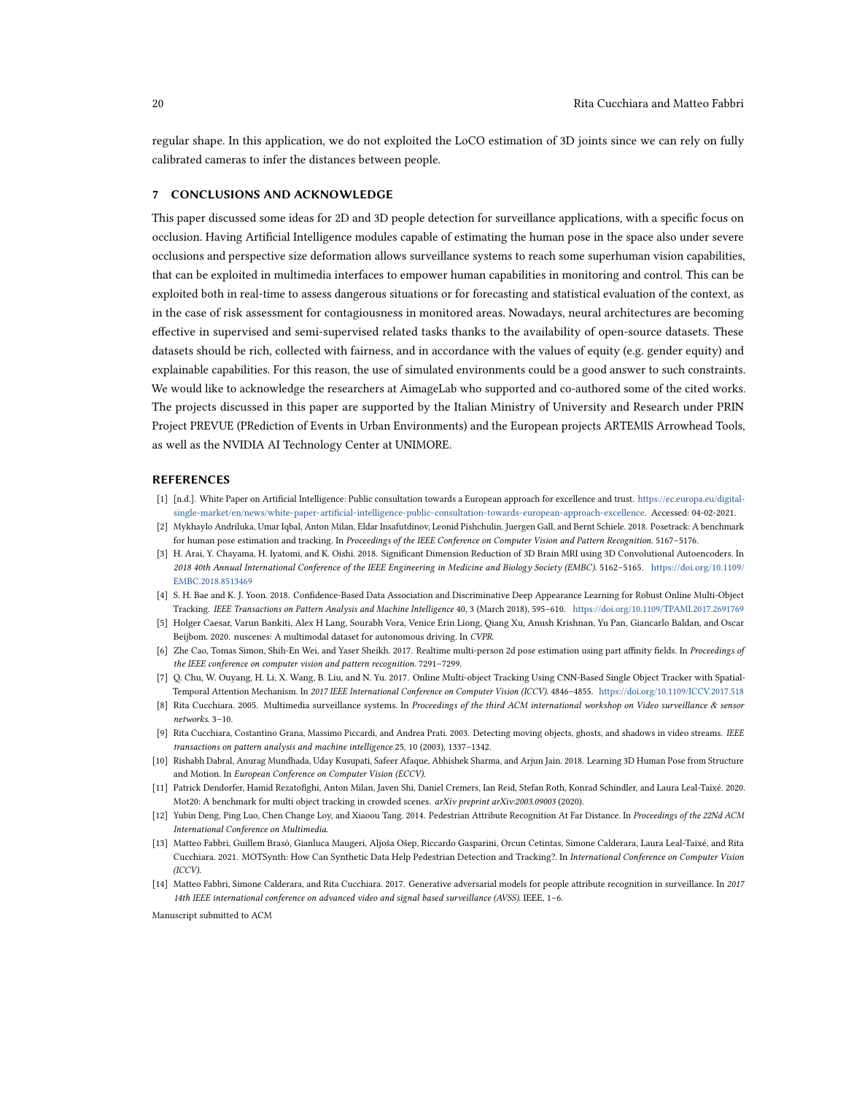regular shape. In this application, we do not exploited the LoCO estimation of 3D joints since we can rely on fully calibrated cameras to infer the distances between people.

## 7 CONCLUSIONS AND ACKNOWLEDGE

This paper discussed some ideas for 2D and 3D people detection for surveillance applications, with a specific focus on occlusion. Having Artificial Intelligence modules capable of estimating the human pose in the space also under severe occlusions and perspective size deformation allows surveillance systems to reach some superhuman vision capabilities, that can be exploited in multimedia interfaces to empower human capabilities in monitoring and control. This can be exploited both in real-time to assess dangerous situations or for forecasting and statistical evaluation of the context, as in the case of risk assessment for contagiousness in monitored areas. Nowadays, neural architectures are becoming effective in supervised and semi-supervised related tasks thanks to the availability of open-source datasets. These datasets should be rich, collected with fairness, and in accordance with the values of equity (e.g. gender equity) and explainable capabilities. For this reason, the use of simulated environments could be a good answer to such constraints. We would like to acknowledge the researchers at AimageLab who supported and co-authored some of the cited works. The projects discussed in this paper are supported by the Italian Ministry of University and Research under PRIN Project PREVUE (PRediction of Events in Urban Environments) and the European projects ARTEMIS Arrowhead Tools, as well as the NVIDIA AI Technology Center at UNIMORE.

## **REFERENCES**

- <span id="page-19-3"></span>[1] [n.d.]. White Paper on Artificial Intelligence: Public consultation towards a European approach for excellence and trust. [https://ec.europa.eu/digital](https://ec.europa.eu/digital-single-market/en/news/white-paper-artificial-intelligence-public-consultation-towards-european-approach-excellence)[single-market/en/news/white-paper-artificial-intelligence-public-consultation-towards-european-approach-excellence.](https://ec.europa.eu/digital-single-market/en/news/white-paper-artificial-intelligence-public-consultation-towards-european-approach-excellence) Accessed: 04-02-2021.
- <span id="page-19-5"></span>[2] Mykhaylo Andriluka, Umar Iqbal, Anton Milan, Eldar Insafutdinov, Leonid Pishchulin, Juergen Gall, and Bernt Schiele. 2018. Posetrack: A benchmark for human pose estimation and tracking. In Proceedings of the IEEE Conference on Computer Vision and Pattern Recognition. 5167–5176.
- <span id="page-19-13"></span>[3] H. Arai, Y. Chayama, H. Iyatomi, and K. Oishi. 2018. Significant Dimension Reduction of 3D Brain MRI using 3D Convolutional Autoencoders. In 2018 40th Annual International Conference of the IEEE Engineering in Medicine and Biology Society (EMBC). 5162–5165. [https://doi.org/10.1109/](https://doi.org/10.1109/EMBC.2018.8513469) [EMBC.2018.8513469](https://doi.org/10.1109/EMBC.2018.8513469)
- <span id="page-19-10"></span>[4] S. H. Bae and K. J. Yoon. 2018. Confidence-Based Data Association and Discriminative Deep Appearance Learning for Robust Online Multi-Object Tracking. IEEE Transactions on Pattern Analysis and Machine Intelligence 40, 3 (March 2018), 595–610. <https://doi.org/10.1109/TPAMI.2017.2691769>
- <span id="page-19-6"></span>[5] Holger Caesar, Varun Bankiti, Alex H Lang, Sourabh Vora, Venice Erin Liong, Qiang Xu, Anush Krishnan, Yu Pan, Giancarlo Baldan, and Oscar Beijbom. 2020. nuscenes: A multimodal dataset for autonomous driving. In CVPR.
- <span id="page-19-2"></span>[6] Zhe Cao, Tomas Simon, Shih-En Wei, and Yaser Sheikh. 2017. Realtime multi-person 2d pose estimation using part affinity fields. In Proceedings of the IEEE conference on computer vision and pattern recognition. 7291–7299.
- <span id="page-19-9"></span>[7] Q. Chu, W. Ouyang, H. Li, X. Wang, B. Liu, and N. Yu. 2017. Online Multi-object Tracking Using CNN-Based Single Object Tracker with Spatial-Temporal Attention Mechanism. In 2017 IEEE International Conference on Computer Vision (ICCV). 4846–4855. <https://doi.org/10.1109/ICCV.2017.518>
- <span id="page-19-0"></span>[8] Rita Cucchiara. 2005. Multimedia surveillance systems. In Proceedings of the third ACM international workshop on Video surveillance & sensor networks. 3–10.
- <span id="page-19-1"></span>[9] Rita Cucchiara, Costantino Grana, Massimo Piccardi, and Andrea Prati. 2003. Detecting moving objects, ghosts, and shadows in video streams. IEEE transactions on pattern analysis and machine intelligence 25, 10 (2003), 1337–1342.
- <span id="page-19-12"></span>[10] Rishabh Dabral, Anurag Mundhada, Uday Kusupati, Safeer Afaque, Abhishek Sharma, and Arjun Jain. 2018. Learning 3D Human Pose from Structure and Motion. In European Conference on Computer Vision (ECCV).
- <span id="page-19-4"></span>[11] Patrick Dendorfer, Hamid Rezatofighi, Anton Milan, Javen Shi, Daniel Cremers, Ian Reid, Stefan Roth, Konrad Schindler, and Laura Leal-Taixé. 2020. Mot20: A benchmark for multi object tracking in crowded scenes. *arXiv preprint arXiv:2003.09003* (2020).
- <span id="page-19-8"></span>[12] Yubin Deng, Ping Luo, Chen Change Loy, and Xiaoou Tang. 2014. Pedestrian Attribute Recognition At Far Distance. In Proceedings of the 22Nd ACM International Conference on Multimedia.
- <span id="page-19-7"></span>[13] Matteo Fabbri, Guillem Brasó, Gianluca Maugeri, Aljoša Ošep, Riccardo Gasparini, Orcun Cetintas, Simone Calderara, Laura Leal-Taixé, and Rita Cucchiara. 2021. MOTSynth: How Can Synthetic Data Help Pedestrian Detection and Tracking?. In International Conference on Computer Vision (ICCV).
- <span id="page-19-11"></span>[14] Matteo Fabbri, Simone Calderara, and Rita Cucchiara. 2017. Generative adversarial models for people attribute recognition in surveillance. In 2017 14th IEEE international conference on advanced video and signal based surveillance (AVSS). IEEE, 1–6.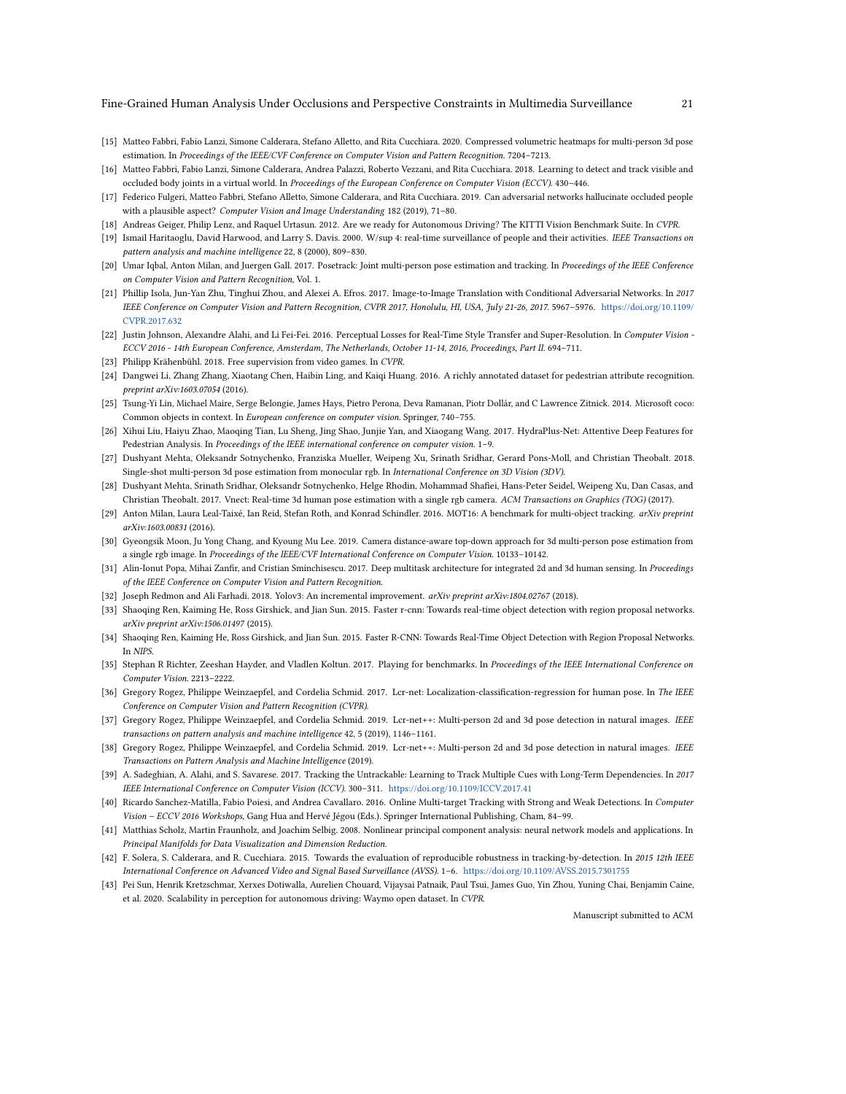- <span id="page-20-1"></span>[15] Matteo Fabbri, Fabio Lanzi, Simone Calderara, Stefano Alletto, and Rita Cucchiara. 2020. Compressed volumetric heatmaps for multi-person 3d pose estimation. In Proceedings of the IEEE/CVF Conference on Computer Vision and Pattern Recognition. 7204–7213.
- <span id="page-20-7"></span>[16] Matteo Fabbri, Fabio Lanzi, Simone Calderara, Andrea Palazzi, Roberto Vezzani, and Rita Cucchiara. 2018. Learning to detect and track visible and occluded body joints in a virtual world. In Proceedings of the European Conference on Computer Vision (ECCV). 430–446.
- <span id="page-20-17"></span>[17] Federico Fulgeri, Matteo Fabbri, Stefano Alletto, Simone Calderara, and Rita Cucchiara. 2019. Can adversarial networks hallucinate occluded people with a plausible aspect? Computer Vision and Image Understanding 182 (2019), 71–80.
- <span id="page-20-11"></span>[18] Andreas Geiger, Philip Lenz, and Raquel Urtasun. 2012. Are we ready for Autonomous Driving? The KITTI Vision Benchmark Suite. In CVPR.
- <span id="page-20-0"></span>[19] Ismail Haritaoglu, David Harwood, and Larry S. Davis. 2000. W/sup 4: real-time surveillance of people and their activities. IEEE Transactions on pattern analysis and machine intelligence 22, 8 (2000), 809–830.
- <span id="page-20-19"></span>[20] Umar Iqbal, Anton Milan, and Juergen Gall. 2017. Posetrack: Joint multi-person pose estimation and tracking. In Proceedings of the IEEE Conference on Computer Vision and Pattern Recognition, Vol. 1.
- <span id="page-20-22"></span>[21] Phillip Isola, Jun-Yan Zhu, Tinghui Zhou, and Alexei A. Efros. 2017. Image-to-Image Translation with Conditional Adversarial Networks. In 2017 IEEE Conference on Computer Vision and Pattern Recognition, CVPR 2017, Honolulu, HI, USA, July 21-26, 2017. 5967–5976. [https://doi.org/10.1109/](https://doi.org/10.1109/CVPR.2017.632) [CVPR.2017.632](https://doi.org/10.1109/CVPR.2017.632)
- <span id="page-20-23"></span>[22] Justin Johnson, Alexandre Alahi, and Li Fei-Fei. 2016. Perceptual Losses for Real-Time Style Transfer and Super-Resolution. In Computer Vision -ECCV 2016 - 14th European Conference, Amsterdam, The Netherlands, October 11-14, 2016, Proceedings, Part II. 694–711.
- <span id="page-20-13"></span>[23] Philipp Krähenbühl. 2018. Free supervision from video games. In CVPR.
- <span id="page-20-15"></span>[24] Dangwei Li, Zhang Zhang, Xiaotang Chen, Haibin Ling, and Kaiqi Huang. 2016. A richly annotated dataset for pedestrian attribute recognition. preprint arXiv:1603.07054 (2016).
- <span id="page-20-9"></span>[25] Tsung-Yi Lin, Michael Maire, Serge Belongie, James Hays, Pietro Perona, Deva Ramanan, Piotr Dollár, and C Lawrence Zitnick. 2014. Microsoft coco: Common objects in context. In European conference on computer vision. Springer, 740–755.
- <span id="page-20-16"></span>[26] Xihui Liu, Haiyu Zhao, Maoqing Tian, Lu Sheng, Jing Shao, Junjie Yan, and Xiaogang Wang. 2017. HydraPlus-Net: Attentive Deep Features for Pedestrian Analysis. In Proceedings of the IEEE international conference on computer vision. 1–9.
- <span id="page-20-27"></span>[27] Dushyant Mehta, Oleksandr Sotnychenko, Franziska Mueller, Weipeng Xu, Srinath Sridhar, Gerard Pons-Moll, and Christian Theobalt. 2018. Single-shot multi-person 3d pose estimation from monocular rgb. In International Conference on 3D Vision (3DV).
- <span id="page-20-2"></span>[28] Dushyant Mehta, Srinath Sridhar, Oleksandr Sotnychenko, Helge Rhodin, Mohammad Shafiei, Hans-Peter Seidel, Weipeng Xu, Dan Casas, and Christian Theobalt. 2017. Vnect: Real-time 3d human pose estimation with a single rgb camera. ACM Transactions on Graphics (TOG) (2017).
- <span id="page-20-8"></span>[29] Anton Milan, Laura Leal-Taixé, Ian Reid, Stefan Roth, and Konrad Schindler. 2016. MOT16: A benchmark for multi-object tracking. arXiv preprint arXiv:1603.00831 (2016).
- <span id="page-20-3"></span>[30] Gyeongsik Moon, Ju Yong Chang, and Kyoung Mu Lee. 2019. Camera distance-aware top-down approach for 3d multi-person pose estimation from a single rgb image. In Proceedings of the IEEE/CVF International Conference on Computer Vision. 10133–10142.
- <span id="page-20-24"></span>[31] Alin-Ionut Popa, Mihai Zanfir, and Cristian Sminchisescu. 2017. Deep multitask architecture for integrated 2d and 3d human sensing. In Proceedings of the IEEE Conference on Computer Vision and Pattern Recognition.
- <span id="page-20-4"></span>[32] Joseph Redmon and Ali Farhadi. 2018. Yolov3: An incremental improvement. arXiv preprint arXiv:1804.02767 (2018).
- <span id="page-20-5"></span>[33] Shaoqing Ren, Kaiming He, Ross Girshick, and Jian Sun. 2015. Faster r-cnn: Towards real-time object detection with region proposal networks. arXiv preprint arXiv:1506.01497 (2015).
- <span id="page-20-14"></span>[34] Shaoqing Ren, Kaiming He, Ross Girshick, and Jian Sun. 2015. Faster R-CNN: Towards Real-Time Object Detection with Region Proposal Networks. In NIPS.
- <span id="page-20-10"></span>[35] Stephan R Richter, Zeeshan Hayder, and Vladlen Koltun, 2017. Playing for benchmarks. In Proceedings of the IEEE International Conference on Computer Vision. 2213–2222.
- <span id="page-20-25"></span>[36] Gregory Rogez, Philippe Weinzaepfel, and Cordelia Schmid. 2017. Lcr-net: Localization-classification-regression for human pose. In The IEEE Conference on Computer Vision and Pattern Recognition (CVPR).
- <span id="page-20-6"></span>[37] Gregory Rogez, Philippe Weinzaepfel, and Cordelia Schmid. 2019. Lcr-net++: Multi-person 2d and 3d pose detection in natural images. IEEE transactions on pattern analysis and machine intelligence 42, 5 (2019), 1146–1161.
- <span id="page-20-26"></span>[38] Gregory Rogez, Philippe Weinzaepfel, and Cordelia Schmid. 2019. Lcr-net++: Multi-person 2d and 3d pose detection in natural images. IEEE Transactions on Pattern Analysis and Machine Intelligence (2019).
- <span id="page-20-20"></span>[39] A. Sadeghian, A. Alahi, and S. Savarese. 2017. Tracking the Untrackable: Learning to Track Multiple Cues with Long-Term Dependencies. In 2017 IEEE International Conference on Computer Vision (ICCV). 300–311. <https://doi.org/10.1109/ICCV.2017.41>
- <span id="page-20-21"></span>[40] Ricardo Sanchez-Matilla, Fabio Poiesi, and Andrea Cavallaro. 2016. Online Multi-target Tracking with Strong and Weak Detections. In Computer Vision – ECCV 2016 Workshops, Gang Hua and Hervé Jégou (Eds.). Springer International Publishing, Cham, 84–99.
- <span id="page-20-28"></span>[41] Matthias Scholz, Martin Fraunholz, and Joachim Selbig. 2008. Nonlinear principal component analysis: neural network models and applications. In Principal Manifolds for Data Visualization and Dimension Reduction.
- <span id="page-20-18"></span>[42] F. Solera, S. Calderara, and R. Cucchiara. 2015. Towards the evaluation of reproducible robustness in tracking-by-detection. In 2015 12th IEEE International Conference on Advanced Video and Signal Based Surveillance (AVSS). 1–6. <https://doi.org/10.1109/AVSS.2015.7301755>
- <span id="page-20-12"></span>[43] Pei Sun, Henrik Kretzschmar, Xerxes Dotiwalla, Aurelien Chouard, Vijaysai Patnaik, Paul Tsui, James Guo, Yin Zhou, Yuning Chai, Benjamin Caine, et al. 2020. Scalability in perception for autonomous driving: Waymo open dataset. In CVPR.